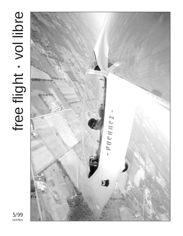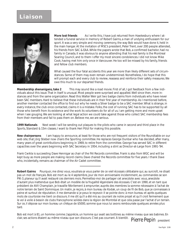

**More lost friends** As I write this, I have just returned from Hawkesbury where I attended a funeral service in memory of Robert Gairns, a man of undying enthusiasm for our sport. It was a very simple and moving ceremony, the way Bob would have done it, held in the main hangar. At the invitation of MSC's president, Peter Trent, over 200 people attended, his friends from SAC & EAA. While the papers wrote that Bob, a confirmed bachelor, had no family in Canada, it was obvious to anyone attending that his real family is the Montreal Soaring Council, and to them I offer my most sincere condolences. I did not know Mike Cook, having met him only once in Vancouver. He too will be missed by his family, friends and fellow club members.

What caused the four fatal accidents this year are more than likely different sets of circumstances. Some of them may even remain undetermined. Nonetheless, I do hope that this will prompt each and every club to review, reassess and reinforce their safety measures. We owe this much to our departed friends.

**Membership shenanigans, take 2** This may sound like a road movie. First of all, I got feedback from a few individuals about this issue. That in itself is unusual. Most people were surprised and appalled. Well since then, more instances and from the same organization. Read this: Walter Weir got two badge claims from individuals who have never been SAC members. Hard to believe that these individuals are in their first year of membership. As I mentioned before, another member contacted the office to find out why he needs a Silver badge to be a SAC member. What is strange, in every instance, the club once contacted, claims it is a mistake. Folks, the cost of running SAC has to be supported by all those who benefit from its existence and the work its volunteers do for all of us. I am getting more and more upset when I see gouging. We are looking at what legal action we could take against those who collect SAC membership fees from their members and fail to pass them on. Believe me, we are serious.

**1999 Nationals** Next week I will be sending out plaques to the pilots who came in second and third place in the Sports, Standard & 15m classes. I want to thank Heri Pölzl for making this possible.

**New chairpersons** I am happy to announce, at least for those who are not frequent visitors of the Roundtable on our web site, that Jörg Stieber now chairs the Sporting committee. He replaces George Dunbar who has decided, after many, many years of great contributions beginning in 1969, to retire from the committee. George has served SAC in different capacities over the years beginning with SAC Secretary in 1954, including a stint as Director-at-Large from 1991-'94.

Frank Cwikla is succeeding Dave Hennigar as chair of the FAI Records committee. Frank is also from WGC and will be kept busy as more people are making record claims. Dave chaired the Records committee for five years. I thank Dave who, incidentally, remains as chairman of the Air Cadet committee.

**Robert Gairns** Pourquoi, me direz vous, voudrais-je vous parler de ce vieil écossais célibataire qui, au surcroît, ne disait pas un mot de français. Bob est mort au le 4 septembre, jour de mon anniversaire incidemment, au commandes se son PIK-3, planeur qu'il avait restauré ces derniers mois. Permettez-moi de partager cet anecdote avec vous, anecdote d'autant plus inattendue que Bob était un modèle de la frugalité légendaire des écossais. C'est en 1990, et en tant que président de AVV Champlain, je travaille fébrilement à emprunter, auprès des membres la somme nécessaire à l'achat de notre terrain de Saint Dominique. Un matin, je reçois, à mon bureau de Kodak, un coup de fil de Bob, que je connaissais à peine et surtout de réputation. Il me demande si je peux le reçevoir. Il se pointe donc à mon bureau et après quelques mots de courtoisie me tient ce discours. Il me dit qu'il a été mis au courrant de notre projet et qu'il croit fermement que le vol à voile à besoin de clubs francophone solides dans la région de Montréal et que cela passe par l'achat d'un terrain. Sur ce, il dépose sur mon bureau un chêque de \$5000, somme que nous lui avons remboursée quelques années plus tard.

*Pierre Pepin* president Bob est mort à 81, un homme comme j'apprécie, un homme qui avait ses bottines au même niveau que ses babines. En clair, ses actions étaient au même niveau que son discours. C'est pas courrant. À bientôt.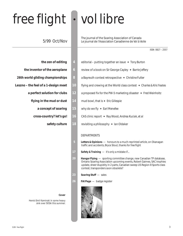# free flight • vol libre

### 5/99 Oct/Nov

The journal of the Soaring Association of Canada Le journal de l'Association Canadienne de Vol à Voile

- 
- 
- 
- - - -
			- -
- **the zen of editing 4** editorial putting together an issue ✦ *Tony Burton*
- **the inventor of the aeroplane 6** review of a book on Sir George Cayley ✦ *Barrie Jeffery*
- **26th world gliding championships 8** a Bayreuth contest retrospective ✦ *Christine Futter*
- **Leszno the feel of a 1-design meet 10** flying and crewing at the World class contest ✦ *Charles & Kris Yeates*
	- **a perfect solution for clubs 12** a proposed fix for the PW-5 marketing disaster ✦ *Fred Weinholtz*
		- **flying in the mud or dust 14** mud bowl, that is ✦ *Eric Gillespie*
			- **a concept of soaring 15** why do we fly ✦ *Earl Menefee*
			- **cross-country? let's go! 16** CAS clinic report ✦ *Ray Wood, Andrea Kuciak, et al*
				- **safety culture 18** revisiting a philosophy ✦ *Ian Oldaker*

### DEPARTMENTS

- **5** *Letters & Opinions*  honours to a much-reprinted article, on Okanagan traffic and accidents, Bryce Stout, thanks for *free flight*
- 17 Safety & Training it's only a mistake if...
- **20** *Hangar Flying*  sporting committee change, new Canadian TP database, Ontario Soaring Association upcoming events, Robert Gairnes, SAC trophies update, sheer stupidity in 2 parts, Canadian sweep US Region 8 Sports class contest, transponders soon obsolete?
- **23** *Soaring Stuff*  sales
- **26** *FAI Page*  badge register



### **Cover**

Here's Emil Kaminski in some heavy sink over SOSA this summer.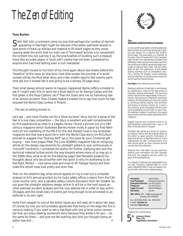# *The Zen of Editing*

### **Tony Burton**

 $\bigcap$  OME TIME AGO, a comment came my way that perhaps the number of reprints appearing in *free flight* might be reduced if the editor gathered several issues worth of back-up articles and material to fill blank pages as they arose. Leaving aside the point that my main use of "borrowed" articles is to *compliment* the content mix, not just top it up, the practicalities of building such a treasure trove (the accurate jargon is "slush pile") clearly had not been considered by anyone who had tried editing even a club newsletter.

This thought moved to the front of my mind again about two weeks before the "deadline" of this issue. At that time I had little except the promise of a world contest article, the Mud Bowl story, and a few smaller reports. Not exactly panic time yet, but it looked like it was going to be a skimpy 20 page issue.

Then what always almost seems to happen, happened. Barrie Jeffery e-mailed to ask if I might want him to send me a book report on Sir George Cayley and the first glider. Is the Pope Catholic, etc!? Then Art Grant sent me his harrowing tale of an almost accident. Then Charles Yeates e-mailed me to say how much he had enjoyed the World Class contest in Poland ...

... The zen of editing kicked in...

Let's see ... arm-twist Charlie; not for a "blow-by-blow" story, but for a sense of the feel of a one class competition — the story is excellent and well complimented by Kris' experiences as crew. In a Calgary library I found a picture out of a 19th century magazine which illustrated Barrie's review nicely. A paper by Fred Weinholtz on the marketing of the PW-5 (or the lack thereof) was in the Australian magazine and that was a good tie-in with the World Class story. Jim McCollum phoned to suggest that "Soaring Stuff" go in this issue for your Christmas gift buying — two more pages filled. The June *SOARING* magazine had an intriguing article on the design requirements for ultralight gliders to soar continuously in "microlift" conditions. I contacted the author for further clarifying text, and this technical material further points the way towards where many of us may go in the 2000s. Now, what to do for the editorial page? Earl Menefee presents his thoughts about why we all bother with this sport or why I'm bothering to do *free flight*. Perfect — now some odds and ends to fill "Hangar Flying", and then make the whole mess look pretty and error free.

Then on the deadline day, what should appear on my e-mail but a complete analysis of Art's almost-accident by his club's safety officer, a report from the CAS cross-country clinic, and a valuable safety culture discussion from Ian Oldaker. So, out goes the ultralight sailplane design article (it will be in the next issue), another planned accident analysis, and the club address list in order to stay within 28 pages, and this small diary of events got long enough to be promoted to an editorial in its own right.

Voilà! From despair to one of the better issues you will read, all in about ten days. Of course, by now you will probably appreciate that living on the edge like this is nervous making. If you want to see a *free flight* with lots of local colour, remember that *you* enjoy reading someone's story because they wrote it for you — do the same for them — and give me fair warning too! And you thought being an editor was dull ... ❖



#### **The SOARING ASSOCIATION of CANADA**

is a non-profit organization of enthusiasts who seek to foster and promote all phases of gliding and soaring on a national and international basis. The association is a member of the Aero Club of Canada (ACC), the Canadian national aero club representing Canada in the Fédération Aéronautique Internationale (FAI), the world sport aviation governing body composed of national aero clubs. The ACC delegates to SAC the supervision of FAI-related soaring activities such as competition sanctions, issuing FAI badges, record attempts, and the selection of Canadian team pilots for world soaring championships.

*free flight* is the official journal of SAC.

Material published in *free flight* is contributed by individuals or clubs for the enjoyment of Canadian soaring enthusiasts. The accuracy of the material is the responsibility of the contributor. No payment is offered for submitted material. All individuals and clubs are invited to contribute articles, reports, club activities, and photos of soaring interest. An e-mail in any common word processing format is welcome (preferably as a text file), or send a fax. All material is subject to editing to the space requirements and the quality standards of the magazine.

Images may be sent as photo prints or as high-resolution greyscale/colour .jpg or .tif files. Prints returned on request.

*free flight* also serves as a forum for opinion on soaring matters and will publish letters to the editor as space permits. Publication of ideas and opinion in *free flight* does not imply endorsement by SAC. Correspondents who wish formal action on their concerns should contact their Zone Director.

Material from *free flight* may be reprinted without prior permission, but SAC requests that both the magazine and the author be given acknowledgement.

For change of address and subscriptions for non-SAC members (\$26/\$47/\$65 for 1/2/3 years, US\$26/\$47/\$65 in USA & overseas), contact the SAC office at the address below.

**President** Pierre Pepin<br>**Vice President** Richard Lond **Executive Director** Jim McCollum **Treasurer** Jim McCollum<br> **Legal Counsel** Robert Wappe **Secretary** vacant

**Vice President** Richard Longhurst **Legal Counsel** Robert Wappel

**SAC office:** 101 – 1090 Ambleside Dr Ottawa, ON K2B 8G7

tel: (613) 829-0536 fax: 829-9497 e-mail: *sac@sac.ca* website: *www.sac.ca*

Deadline for contributions:

5 **th**

**January, March May, July September, November**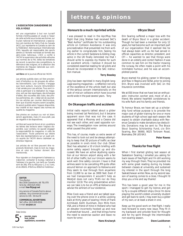### **L'ASSOCIATION CANADIENNE DE VOL À VOILE**

est une organisation à but non lucratif formée d'enthousiastes et vouée à l'essor de cette activité sous toutes ses formes, sur le plan national et international. L'association est membre de l'Aéro Club du Canada (ACC), qui représente le Canada au sein de la Fédération Aéronautique Internationale (FAI), laquelle est responsable des sports aériens à l'échelle mondiale et formée des aéro-clubs nationaux. L'ACC a confié à l'ACVV la supervision des activités vélivoles aux normes de la FAI, telles les tentatives de record, la sanction des compétitions, la délivrance des insignes, et la sélection des membres de l'équipe nationale aux compétitions mondiales.

**vol libre** est le journal officiel de l'ACVV.

Les articles publiés dans *vol libre* proviennent d'individus ou de groupes de vélivoles bienveillants. Leur contenu n'engage que leurs auteurs. Aucune rémunération n'est versée pour ces articles. Tous sont invités à participer à la réalisation du magazine, soit par des reportages, des échanges d'idées, des nouvelles des clubs, des photos pertinentes, etc. L'idéal est de soumettre ces articles par courrier électronique, bien que d'autres moyens soient acceptés. Ils seront publiés selon l'espace disponible, leur intérêt et leur respect des normes de qualité du magazine.

Des photos en couleurs ou noir et blanc seront appréciées, mais s'il vous plaît, pas de négatifs ni de diapositives.

*vol libre* sert aussi de forum et on y publiera les lettres des lecteurs selon l'espace disponible. Leur contenu ne saurait engager la responsabilité du magazine, ni celle de l'association. Toute personne qui désire faire des représentations sur un sujet précis auprès de l'ACVV devra s'adresser au directeur régional.

Les articles de *vol libre* peuvent être reproduits librement, mais le nom du magazine et celui de l'auteur doivent être mentionnés.

Pour signaler un changement d'adresse ou s'abonner, contacter le bureau national à l'adresse à la gauche. Les tarifs au Canada sont de 26\$, 47\$ ou 65\$ pour 1, 2 ou 3 ans, et de 26\$US, 47\$US ou 65\$US à l'extérieur.

### **EDITOR**

Tony Burton Box 1916 Claresholm, AB T0L 0T0 tel & fax (403) 625-4563 e-mail *free-flt@agt.net*

Any service of Canada Post to above address. Any commercial courier service to 335 - 50 Ave W

#### **COMMERCIAL ADVERTISING**

SAC office (613) 829-0536 e-mail *sac@sac.ca*

Date limite:



**janvier, mars mai, juillet septembre, novembre**

### **letters & opinions**

### **Honours to a much reprinted article**

I was pleased to read in the Apr/May *free flight* that Jörg Stieber had received SAC's "Best Author" certificate for his outstanding article on Collision Avoidance. It was only procrastination that prevented me from writing earlier to congratulate him. Seeing his article in the current *Sailplane & Gliding* magazine in the UK finally reminded me that I should write to express my thanks for such an excellent article. I believe it should be considered essential reading for all pilots and should be incorporated in the SAC instruction manual.

#### **Terry Beasley**

*Jörg has been reprinted in many English language soaring magazines — a reflection not only of the excellence of the article itself, but also of the serious concern internationally on the rash of mid-air collisions which have occurred world-wide in the past several years. Tony*

### **On Okanagan traffic and accidents**

Initial radio reports talked about a glider being involved (at Penticton), but it became apparent soon that was not the case. It appeared that a Mooney and a Cessna did not see each other, and used opposite runways. The investigation now centres around what caused the pilot error.

This has, of course, made us extra aware of the need to look out and be always attempting to keep that 3D picture of traffic as clear as possible in one's mind. Our club (Silver Star) has adopted a 10 o'clock briefing with some safety aspect brought up and discussed. We have an active skydiving operation at our Vernon airport along with a fair bit of other traffic, but our Unicom seems to work well. One safety concern I have is that airlines seem to be cancelling IFR quite often around Vernon on approach to Kelowna and they seem to roar through from anywhere from 11,000 to as low as 3000 feet. Even if we had transponders it wouldn't help as WestJet does not carry TCAS nor do they monitor 122.8. The only preventative action we can take is to be on ATIS at Kelowna and advise the airliners of our existence.

Mike Cook was a friend and we talked soaring over the phone once in a while. Looking back at thirty years of soaring I think of Frank Archibald, Keith Duckham, Don Mills from VSA, and a friend of mine in Holland who had an elevator incorrectly hooked up and now is wheelchair bound ... and that brings home the need to excercise caution and leave no room for error.

#### **Hans Kruiswyk**

### ✝ **Bryce Stout**

Erin Soaring suffered a major loss with the death of Bryce Stout in a glider accident. Though he had been a member for only 12 years, he had become such an important part of our organization that it seemed like he had always been with us. He had served in official capacities as director, president, and CFI — he wanted to see that things were done in an orderly and correct fashion. It was common to see him on the tractor mowing the runway. He often made a point with his inimitable humour, and he was an accomplished pianist.

Bryce started his gliding career in Winnipeg and flew in Regina and SOSA, prior to joining Erin. Bryce was involved with SAC on the Insurance committee.

We at ESS know that we have lost an enthusiastic instructor, worker and, most of all, a friend. We extend heartfelt condolences to his wife Ruth and his family and friends.

To honour Bryce, we have set up a scholarship fund whose purpose is to provide the major cost of glider training for one or more students of high school age each season. We expect to obtain charitable status with Revenue Canada to make donations tax deductible. Donations may be sent to: The Bryce Stout Soaring Scholarship Fund, c/o Erin Soaring, Box 36060, 9025 Torbram Road, Bramalea, ON L6S 6A3.

**Peter Rawes**

### **Thanks for free flight**

When I first started gliding last season at Saskatoon Soaring, I emailed you asking for back issues of *free flight* and I'm *still* working my way through them. They've provided me with some great reading during my breaks between classes at university, and sustained my interest in the sport through the long Saskatchewan winter. Now, as my second season of soaring comes to a close, I thought I'd drop you a line and say thanks!

This has been a good year for me in the sport. I managed to get my licence, and got to fly a couple different ships. Once I'm done playing the world's oldest university student and get back to work, I may even buy a glider of my own, or at least a share in one.

Keep up the good work on *free flight*. I really look forward to every new issue. They fit in my backpack and provide food for thought and for my spirit through the interminable non-soaring season.

**Dave Luukkonen**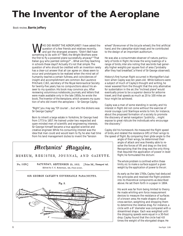# **The Inventor of the Aeroplane**

Book review, **Barrie Jeffery**

HO DID INVENT THE AEROPLANE? I have asked the question of a few friends and relatives recently, and got the strangest answers: "Didn't Bell have something to do with it?" "Well, the Wright Brothers were the first to fly a powered plane successfully, anyway!" "That Italian guy who painted ceilings?" ... What *are* they teaching in schools these days?! Actually it's not that simple. The question of who should be credited with an invention rarely has a clear-cut answer that all can agree on. Ideas seem to occur and prototypes to be realized when the mind set of humanity reaches a certain fullness, and coincidences of insight and accomplishment are common. But Laurence Pritchard, C.B.E., secretary of the Royal Aeronautical Society for twenty-five years, has no compunctions about his answer to my question. His book may convince you. After reviewing voluminous notebooks, journals, and letters that were made available only in the late 1950s, he wrote the book, *The Inventor of the Aeroplane*, which answers my question of who *did* invent the aeroplane — Sir George Cayley.

"Right", you may say, "Of course! ... but who the dickens was Sir George Cayley?"

Born to inherit a large estate in Yorkshire, Sir George lived from 1773 to 1857. He trained under two respected and open-minded men of scientific and engineering interests. Sir George himself became a true applied scientist and creative engineer. While his consuming interest was the idea that man could and would learn to fly, he also had time from his land management duties to invent the "tension

### **Mechanics' Magazine,**

MUSEUM, REGISTER, JOURNAL, AND GAZETTE.

No. 1520.] SATURDAY, SEPTEMBER 25, 1852. [Price 3d., Stamped 4d. Edited by J. C. Robertson, 166, Fleet-street.



wheel" (forerunner of the bicycle wheel), the first artificial hand, and the caterpillar-style tread, and he contributed to the design of an important auditorium.

He was also a consummate observer of nature, particularly of birds in flight. He knew the wing loadings of a range of birds, *inter alia* noting that sea birds had generally higher weights per square foot of area ("probably after they had breakfast", a friend of Sir George observed).

History's first human flight occurred in Montgolfier's balloon when Cayley was ten years old. While balloons were a subject of much of Cayley's thought and writing, he never wavered from the thought that the only alternative for sustentation in the air, the "inclined plane" would eventually prove to be a superior device for airborne travel, and that speeds as much as 20 to 100 miles an hour might be achieved.

Cayley was a man of some standing in society, and his interest in flight did not come without the exercise of moral courage. Lord Stanhope wrote to him, for instance, about the proposed formation of a society to promote the discovery of aerial navigation: "publicity ... might expose to great ridicule the individuals who encourage the discovery."

Cayley did his homework. He measured the flight speed of birds, and related the resistance (lift) of their wings to the speed of flight. By comparing their glide angle to the

angle of their wings, he determined their angle of attack and was thereby able to resolve the forces of lift and drag on the bird. Recognizing that the drag was the only thing that required the application of power in level flight, he formulated the dictum:

*The whole problem is confined within these limits, viz. to make a surface support a given weight by the application of power to the air.*

As early as the late 1700s, Cayley had deduced the principles and resolved the flight problem into its theoretical components as described above. He set them forth in a paper in 1804.

His work was far from being limited to theory. He made whirling-arm force measurement devices to measure the resistance of surfaces of a known area. He made shapes of equal cross-section, weighting and dropping them to determine the relative drag. For instance, a circle with a 6" diameter was compared with a streamlined shape. Each was weighted until the dropping speeds were equal in a 30-foot drop. Cayley found that the circle had 4.8 times the weight of the elongated shape. He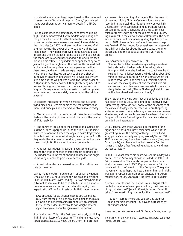postulated a minimum-drag shape based on the measured cross-sections of trout and dolphins. Cayley's postulated shape was shown by von Karman to closely fit a NACA airfoil.

Having established the practicality of controlled gliding flight, and demonstrated it with models large enough to carry a man, he turned his attention to the problem of power. In this he was eminently successful in establishing the principles (by 1807), and even working models, of 'air engines' having 'the power of a horse but weighing less than a man'. They didn't work well though. It was a case of cost and the limited facilities he could bring to bear on the manufacture of engines, working with one hired technician on his estate. His cylinders of copper sheeting were just not a good enough fit on the pistons. He realized that air had much more potential as an expansive medium than steam, and even made an experimental engine in which the air was heated on each stroke by a shot of gunpowder. Steam engines were well developed by Cayley's time but the weight was prohibitive, of the order of 200 pounds per horsepower. Although later engineers like Napier, Sterling, and Ericsson had more success with air engines, Cayley was 'actually successful in realizing power from them', and he was widely recognized as the original inventor.

Of greatest interest to us were his model and full-scale flying machines. Here are some of the characteristics of them, and principles he observed so obvious to us today:

• The wings should be canted up at the outer ends (dihedral) and the centre of gravity should be below the centre of lift for stability.

• The centre of lift is not at the centroid of a surface (unless the surface is perpendicular to the flow), but is some distance forward of it when the angle is acute. Cayley had done tests with surfaces set at angles varying from 3 to 18 degrees to the airstream, a hundred years before the wellknown Wright Brothers wind tunnel experiments.

• A horizontal "rudder" (stabilizer) fixed some distance behind the wing is needed to effect stable gliding flight. The rudder should be set at about 8 degrees to the angle of the wing in order to produce a steady glide.

• A vertical rudder can be used to turn the craft to one side or the other.

Cayley made models, 'large enough for aerial navigation'. One craft had 300 square feet of wing area and weighed 56 lb, or 140 lb gross with loading. (He says elsewhere that a 14-foot square would be adequate to support a man he was more concerned with structural integrity than aspect ratio.) Of the flight tests in his 1804 paper, he says:

*It was beautiful to see this noble white bird sail majestically from the top of a hill to any given point on the plain below it with perfect steadiness and safety, according to the set of the rudder, merely by its own weight, descending in an angle of about 8 degrees with the horizon.*

Pritchard notes: "This is the first recorded study of gliding flight in the history of aeronautics." The flights must have taken place at least 100 years before the Wright Brothers'

successes. It is something of a tragedy that the records of manned gliding flight in Cayley's gliders were not recorded in the detail that his other work enjoyed. Sir George's son "who succeeded him at Brompton, disapproved of his father's activities, and tried to conceal traces of them". Sadly, one of the gliders ended up serving as a roost in the chicken yard at Brompton. The best evidence puts the first manned gliding flight as occurring in 1849. It seems "a boy of about ten years of age was floated off the ground for several yards on descending a hill, and also for about the same space by some persons pulling the apparatus against a very slight breeze".

Cayley's granddaughter wrote in 1921:

*"I remember in later times hearing of a large machine being started on the high side of the valley behind Brompton Hall where he lived, and the coachman being sent up in it, and it flew across the little valley, about 500 yards at most, and came down with a smash. What the motive power was I don't know, but I think the coachman was the moving element, and the result was his capsize and the rush of watchers across to his rescue. He struggled up and said, "Please, Sir George, I wish to give notice. I was hired to drive and not to fly."*

She wrote the following year that she believed the flight had taken place in 1852. The point about 'motive power' is interesting. Although 'well aware of the advantages of the airscrew', Cayley experimented with ornithoptering surfaces because of simple leverage mechanisms he was able to use, and the coachman may have been vigorously flapping 40 square foot wings while the main surfaces provided the 'sustentation'.

Otto Lilienthal was three years old at the time of this flight, and he has been justly celebrated as one of the greatest figures in the history of flying. He flew fixed wing gliders 'successfully and progressively' from 1891 to 1896 'while studying the subject exhaustively' *(Everyman Encyclopedia)*, and became the first casualty. But the names of Cayley's first fixed-wing aviators, boy and man, are lost to history.

In 1843, 14 years before his death, Sir George Cayley was praised as one "who may almost be called the father of British aerostation". He was also respected by all as a kindly, humane man. In 1961 Captain Laurence Pritchard has called him the 'Inventor of the Aeroplane'. The gliding movement has perhaps the best claim on him, and might well call him, based on his pioneer analysis and experimental work of 200 years ago, 'The First Glider Builder'.

Norman Emmott *(One Foot on the Ground,* Lugus, 1992*)* quoted a member of a company building the inventions of my old friend W/C Jerauld G. Wright, whom Emmott called "the closest thing to a genius that I have ever met":

*You can't learn to invent, and you can't be taught, or take a course in inventing. You have to be touched by the finger of God.*

If anyone has been so touched, Sir George Cayley was. ❖

*The Inventor of the Aeroplane,* J. Laurence Pritchard, C.B.E. Max Parrish, London, 1961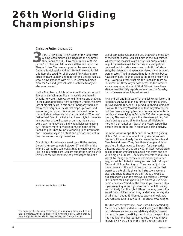# **26th World Gliding Championships**

**Christine Futter**, Gatineau GC

PILOTS REPRESENTED CANADA at the 26th World Gliding Championships in Bayreuth this summer. Nick Bonnière and Ulli Werneburg flew ASW-27s PILOTS REPRESENTED CANADA at the 26th World<br>Gliding Championships in Bayreuth this summer.<br>Nick Bonnière and Ulli Werneburg flew ASW-27s<br>in the 15m class and Ed Hollestelle flew an LS-8 in the Standard class. They were supported by several crew. Annemarie Hollestelle and Kurt Hertwig crewed for Ed; Udo Rumpf crewed for Ulli; I crewed for Nick and also acted as Team Captain and reporter; and George Szukala, who is now stationed with NATO in Germany, helped crew for Nick and gave valuable assistance to anyone else who needed it.

Unlike St. Auban, which is in the Alps, the terrain around Bayreuth is much more like what we fly over here in Ontario. However, there was one difference, and that was in the outlanding fields. Here in eastern Ontario, we have lots of big, flat fields. In this part of Germany, there are many more very small fields that slope up, down, and across the ground, so this was one more feature to be thought about when planning an outlanding. When we first arrived, few of the fields had been cut, but the excellent weather of the first part of our stay meant that, every day, more hayfields and wheat fields were being cut. This gave more to choose from, and none of the Canadian pilots had to make a landing in an unsuitable one — occasionally in a distant one, perhaps, but not in one that was obviously hazardous.

Our pilots, unfortunately, weren't up with the leaders, though their scores were between 77 and 87% of the winners' scores. You can look at that in whatever way you like. In a 100 metre dash, you are out of the running with 99.99% of the winner's time, so percentages are not a

The team at the opening ceremonies in downtown Bayreuth, l to r: Nick Bonnière, Annemarie Hollestelle, Christine Futter, Kurt Hertwig, Udo Rumpf, Ed Hollestelle, Ulli Werneburg, and George Szukala. *photo not available for pdf file*

useful comparison. It also tells you that with almost 90% of the winner's score, you still finish in the mid-thirties. Whatever the reasons might be for this, our pilots did acquit themselves well. Each achieved a competition personal best in distance or speed or both. Unfortunately, the distances and speeds achieved by other pilots were greater. "The important thing is not to win but to have taken part," sounds good but it doesn't really ring true. Having said that, what did the Canadian team do in Bayreuth? (Those of you with access to the Internet *<www.magma.ca/~bonnfutt/World99>* will have been able to read the daily reports we sent back to Canada, but not everyone has Internet access.)

Nick and Ulli and I started off at the Schleicher factory in Poppenhausen, about an hour from Frankfurt by train. This was where Nick and Ulli picked up their gliders, and it was at the nearby Wasserkuppe that they flew for the first few days, managing to check out a number of turnpoints, and even flying to Bayreuth, 150 kilometres away, one day. The Wasserkuppe is the site where gliding first developed as a sport. Lilienthal leapt off hillsides in northern Germany, but it was at the Wasserkuppe that people first got together in organized gliding activity.

From the Wasserkuppe, Nick and Ulli went to a gliding club at Zell, a turnpoint about thirty kilometres from Bayreuth. Ed was already there, as were the French and New Zealand teams. They flew there a couple of days and then, finally, moved to Bayreuth for the practice days. The weather at this time was *fantastic*. People were calling it 'Texas weather' because it was warm and dry with a high cloudbase — not contest weather at all. This was all to change once the contest proper got under way, but while it lasted, it was great. Not that it stopped Nick and Ulli from landing out. They needed just one more thermal at the end of one practice day, but that wasn't to be. Foolishly, since the instructions were so clear and straightforward, we didn't take the GPS coordinates with us on the retrieve. Big mistake. Germans like to have road signs pointing to places you've never heard of and can't find on the map so you have no idea if you are going in the right direction or not. However, we did finally find them, but I think that may have influenced their thinking when they landed another day at a small airport about 35 kilometres away and took aerotow retrieves back to Bayreuth — much to crew delight.

This trip was the first time I have used a GPS for finding Nick when he has landed out, and it was great. The other two retrieves we made were relatively straightforward, but in both cases, the GPS got us right to the spot. If we had had it for the first retrieve, at least we would have known if we were going in the right direction and per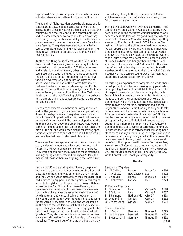haps wouldn't have driven up and down quite so many suburban streets in our attempt to get out of the city.

The "real-time" flight recorders were the big news of this contest. Up to 15,000 people a day world-wide were accessing the site and watching the pilots go around the courses. During the early part of the contest, both Nick and Ed carried them, so we were able to see how they were doing, though with a short delay. Later, the leaders were the ones who carried them, so no more Canadians were featured. The gliders were also accompanied on course by motorgliders filming what was going on. The footage will be used to produce a video that will be ready in the fall.

Another new thing, to us at least, was the Cat's Cradle distance task. Pilots were given a mandatory first turnpoint (which could be more than 100 kilometres away) and a selection of about twenty other turnpoints they could use, and a specified length of time to complete the task. Up to this point, it sounds similar to our PST tasks. However, you only got points for distance, not speed, and when the end of the allotted time ran out, that was the distance flown as shown by the GPS. This means that, as the time is running out, you can fly downwind as far as you can until the time expires. That is your finish point for the task. Then, hopefully, you tiptoe back to the airport and, in this contest, pilots got a 15% bonus for landing there.

There was considerable emphasis on safety, in the air and on the ground, for gliders, vehicles, and pedestrians. Some of the days, when all the gliders came back at once, it seemed impossible that they would all manage to land safely, but they did. The runway sloped up to the midpoint and then down the other side. Gliders would come hurtling in, land either just before or just after the brow of the hill and would then disappear, leaving spectators with the impression that over the hill there would just be a tangled mass of shattered fibreglass!

There were five runways, four on the grass and one concrete, and pilots announced which one they intended to use. This helped maintain some order in the chaos. They were also strongly encouraged to make straight-in landings so, again, this lessened the chaos. At least this meant that most of them were going in the same direction.

Launching 123 gliders using about twenty towplanes took close to an hour and twenty minutes. The Standard class took off from a runway on one side of the airfield and the 15m and Open classes from the other. Each class had a different drop point and start point, so this helped separate the gliders. The towplanes were Wilgas, Robins, a Husky and a Zlin. Most of them were German, but there were also Polish and Russian ones. For some reason, the towpilots never managed to master the art of switching to all-out without having a hesitation that allowed the glider to run over the rope if pilot and wing runner weren't very alert. In the 27s, the wheel brake is on the end of the spoilers, so Nick took off with spoilers open. Other gliders took off with crew hanging onto the tail to hold the glider back until the towplane really did go all-out. They also used much shorter tow ropes than we are accustomed to. Nick and Ulli really didn't care for the Wilgas. They could get off the ground, but then they

climbed very slowly to the release point at 2000 feet, which makes for an uncomfortable ride when you are full of water on a short rope.

The first two tasks were well over 500 kilometres — not something we are used to in Canadian contests. However, this was during the 'Texas weather' period, so was perfectly possible. Even on less good days, the task committee set tasks over 400, and on really awful days, they were sent off on tasks of close to 300 kilometres. The task committee and the pilots benefited from meteorological reports given by professional weathermen who were glider pilots. (They kept talking about very small windows that might allow tasks to be flown but weren't, so the South African team went to the local equivalent of Home Hardware and bought them an actual small window.) Unfortunately, it didn't do much for the weather. After the first few days of unexpectedly fantastic weather, conditions reverted to the more typical German weather we had been expecting. Out of fourteen possible contest days, the pilots flew only seven.

It's certainly an experience to compete in a world championship, but it must be demoralizing to fly your fastest or longest flight and still only finish in the bottom third of the pack. I am sure our pilots have the potential to finish higher, but how are they to do this? More competitions to sharpen their competitive skills? Here, that would mean flying in the States and most people can't afford to take time off for our Nationals and also for US Regionals or Nationals. More funding so they could take more time off and fly more competitive ships at home? Sure, but where is the funding to come from? Gliding may be great for forming character and instilling a sense of responsibility and self-discipline in young people but not in vast numbers of them here in Canada, so it would be difficult to convince governments to fund us. Businesses sponsor those activities that will bring benefits to them, and again, the number of people involved in or interested in gliding is very small, so the return on the investment would be very small. That said, we were all grateful for the support we did receive from *Kyber Pass*, *Hakmet*, from *Air Canada* as a company and from individual Air Canada pilots, and, of course, from the people who contributed to the Wolf Mix Fund and to the SAC World Contest Fund. Thank you everybody.

### **Results**

|                | Standard - 47 gliders |                    |               |                   |
|----------------|-----------------------|--------------------|---------------|-------------------|
| 1              | JM Caillard           | France             | Discus 2a     | 6616              |
| $\overline{2}$ | JRP Coutts            | New Zealand        | LS8           | 6502              |
| 3              | L Aboulin             | France             | Discus 2b     | 6467              |
|                | 35 E Hollestelle      | Canada             | LS8           | 5773              |
|                | 15 Metre – 43 gliders |                    |               |                   |
| 1.             | G Galetto             | Italy              | Ventus 2a     | 6618              |
|                | 2 S Ghiorzo           | Italy              | Ventus 2      | 6537              |
|                | 3 S Raimond           | <b>Netherlands</b> | <b>ASW 27</b> | 6463              |
|                | 36 D Bonnière         | Canada             | <b>ASW 27</b> | 5212              |
|                | 38 U Werneburg        | Canada             | <b>ASW 27</b> | 5084              |
|                | Open – 32 gliders     |                    |               |                   |
| 1              | H Karow               | Germany            | Nimbus 4      | 6623              |
| $\overline{2}$ | <b>JW Andersen</b>    | Denmark            | Nimbus 4T     | 6578              |
|                | 3 B Gantenbrink       | Germany            | Nimbus 4T     | 6452              |
|                |                       |                    |               | $\Rightarrow$ p25 |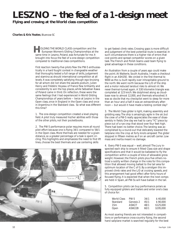# **LESZNO – the feel of a 1-design meet**

**Flying and crewing at the World class competition**

**Charles & Kris Yeates**, *Bluenose SC*

OLDING THE WORLD CLASS competition and the European Women's Gliding Championships at the same time in Leszno, Poland, was fortunate for me. It **H**brought into focus the feel of a one-design competition compared to traditional class competitions.

First reaction: twenty-five pilots flew the PW-5 enthusiastically in a hard fought contest in changeable weather that thoroughly tested a full range of skills, judgement and stamina as should international competition at all levels. It was completely satisfying though ego-bruising for all whom did not share the awards podium. Julien Henry and Frédéric Hoyeau of France flew brilliantly and consistently to win the top places, while Sebastian Kawa of Poland came in third. On reflection, these were the same feelings that I had experienced in World Gliding Championships of years before — twice at Leszno in the Open class, once in England in the Open class and once in Argentina in the Standard class. So what was different this time?

1. The one-design competition created a level playing field. A pilot truly measured his/her abilities with those of the other pilots, not their pocketbooks.

2. The PW-5 performance polar requires more all round pilot effort because one is flying 34/1 compared to 58/1 in the Open class. More thermals are needed for a given distance, so a greater percentage of a task is spent circling. This highlights and emphasizes the need to find lift lines, choose the best thermals and use centering skills



to get fastest climb rates. Crossing gaps is more difficult and judgement of the best potential route is essential. In such circumstances there is a higher risk of errors that cost points and spread competitor scores on a given task. The French and Polish teams used team flying to great advantage in these conditions.

An illustration from a couple of years ago could make the point. At Waikerie, South Australia, I made a checkout flight in an ASH25E. We circled in the first thermal to 9000 as the cu built rapidly over inhospitable ground to the north. We went north because the L/D of the ship and a motor reduced landout risks to almost nil. *We never thermal-turned again.* A 530 kilometre triangle was completed at 123 km/h. We dolphined along as cloudbase rose to almost 12,000, and thermals whooshed. It was so docile that my checkpilot went to sleep for more than an hour and a half. It was an extraordinary afternoon — but would it have made a testing contest day?

3. The World Class glider is light, making assembly and gridding easy. The ship is amazingly agile in the air, but the crew of a PW-5 really appreciates the ease of disassembly in fields. One day we had to carry "YC" piece by piece out of a rye crop that stood over four feet high. There had been no better choice. The landing was accomplished by a round-out that delicately lowered the tailplane into the crop at forty knots airspeed. The glider stopped in fifteen metres as if on an aircraft carrier. Low mass and inertia meant no damage.

4. Every PW-5 was equal — well, almost! The Jury inspected each ship to ensure it fitted Class size and shape specifications and that it would be ballasted to fly the competition within a couple of kilos of allowable gross weight. However, the French pilots plus five others noticed a subtly written change in the rules for this competition that allowed moving ballast to the tail area for optimum location of the C of G. By a smidgen this improved climb rates and the L/D at cruising speeds, and this arrangement had good effect after forty hours of focused flying. It is expected that when the next comps are held in Spain, all PW-5s will have ballast in the tail.

5. Competition pilots can buy performance polars as fully equipped gliders and trailers and enter one's class of choice for:

| World Class | PW-5              | 34/1 | \$40,000  |
|-------------|-------------------|------|-----------|
| Standard    | Genesis 2         | 45/1 | \$90.000  |
| 15m         | ASW <sub>27</sub> | 48/1 | \$125,000 |
| Open        | ASW22B            | 60/1 | \$195,000 |

As most soaring friends are not interested in competitions or performance cross-country flying, the second hand sailplane market is searched regularly for the best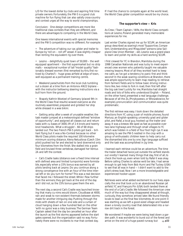L/D for the lowest dollar by clubs and aspiring first time private owners. Fortunately, the PW-5 is a good club machine for fun flying that can also satisfy cross-country and contest urges all the way to world championships.

*Conclusion*: One-design competitions are more like traditional class contests than they are different, and there are advantages to competing in the World Class.

One leaves international events with special memories and the PW-5 competition was no different. For example:

• The adventure of taking our car, glider and trailer to Europe by 'roll on – roll off' vessel. It was slightly cheaper than renting the equivalent rig over there.

• Leszno – delightfully quiet town of 50,000 – the well equipped apartment – the first supermarket but no strip malls – exceptional number of tall "model quality" fashionably dressed women (first remarked by Kris, first noticed by Charles?) – huge grass airfield at edge of town, well equipped as a permanent training centre.

• Weekend parachutists from the local club tumbling out a dozen at a time from an Antonov AN22 biplane – with the instructor bellowing steering instructions via a bull horn from the ground.

• Shapely Kathrin Woetzel of Germany (placed 9th in the World Class final results) wowed everyone as she routinely assembled, prepared and gridded her ship while dressed in a wee bikini.

• Getting antsy after a week of unusable weather, the task master jumped at a meteorologist defined "window of opportunity", and assigned all classes out and return tasks with cu bases of 3000, lift of 2-4 knots and twenty knot headwinds. What a struggle! – 66 of 68 ships landed out. The two French PW-5 pilots got back – brilliant flying but it was a No-Contest because no other World Class pilots made the required 100 kilometre minimum scoring distance. Alena Netusilova (Czech 15m pilot) pushed too far and elected to land downwind only four kilometres from the finish. She stalled into a grain field and bruised three vertebrae, damaged her Ventus 2A and left the contest.

• Cat's Cradle tasks (distance over a fixed time interval with defined area and limited turnpoints) were formidable, especially when a 15% bonus was earned by all pilots landing back at Leszno. Do you continue along a strong convergence line with an hour of the time interval left or do you turn for home? This was a real decision that faced me. I followed the street. While I flew further than the winners, they got back at the end of the day and I did not, so the 15% bonus gave them the win.

The next day, a second Cat's Cradle was launched knowing that many cu-nims would bloom. Cloudbase at 4000, rain and weak to non-existent thermals between storms made for another intriguing day. Pushing through the mists with sheets of rain on one side and a curtain of cloud hanging down a few hundred feet on the other 'with no gyros' was a risky business. The German Team Captain asked that the day be cancelled an hour after the launch as the first storms appeared before the start gates opened, but the organization said no way. Fortunately there were no incidents to mar that contest day.

If I had the chance to compete again at the world level, the World Class glider competition would be my choice.

### **The supporter's view — Kris**

As Crew / Team Captain / Wife, the World Class competitions at Leszno, Poland generated many memorable experiences for me.

Last winter Charles signed me up for SCUM, an American group described as soaring's most "Supportive, Competent, Understanding and Misguided" persons *(also Sailplane Crew Union Member – ed)*. Leszno was a grand place to learn and polish my skills as a hard working SCUM.

I first crewed for YC in Brandon, Manitoba during the 1998 Canadian Nationals and was lucky to meet experienced crew women who patiently taught me valuable crewing lessons. Most of all they worked hard to keep me calm, as I've got a tendency to panic first and think second! In the weak soaring conditions at Brandon, there was ample opportunity to learn map reading, to retrieve from farmers' fields and to follow basic driving instructions like, two miles to fork in road, then first left after the big oak tree! Luckily for me, Manitoba had straight roads and lots of folks who understood English — Poland, on the other hand, presented a real language challenge. Because of all the Zs, (Przybyszewo, or Wloszakowice, for example), pronunciation and communication was quite problematic.

The first retrieve was easy. I took down the detailed directions from YC using a pair of mobile phones, found Mariusz, an English-speaking university grad and glider pilot, and Rafal, a local guy, hooked up the trailer and away. It was a breeze. We sped as fast as possible over two-lane highways and through small villages to YC which was hidden in a field of four foot high rye. It was amazing to see the PW-5 nestled in the crop with a group of enthusiastic children keen to help carry out the dismantled bits one by one. Sign language sufficed and the task was accomplished in jig time.

I learned each retrieve could be an adventure. The time the trailer detached *twice* just outside the airfield stands out vividly! I learned many things that day, first of all, to check the hook-up, even when told by Rafal it was okay. Before calling Charles to advise we'd be late, I had sense enough to get help from Bob Hurni and Pat Tuckey (USA) to see that all was in hand — I didn't want to add to the pilot's stress load. Now I am a more knowledgeable and experienced hooker-upper.

Retrieves were what added excitement to our lives, especially the one that took us to an abandoned Russian jet airfield. YC and François Pin (USA) both landed there at the end of a Cat's Cradle. We followed the American crew much of the way but they disappeared ahead al-though, curiously, they somehow arrived later. We found friendly locals to lead us the final few kilometres. At one point it was startling as we left a good-sized village and headed down a lonely country road that deteriorated into a *narrow* dirt track in the forest.

We wondered if maybe we were being lead down a garden path. It was wonderful to burst out of the forest and arrive on the end of a huge paved runway but  $\Rightarrow$  **p22**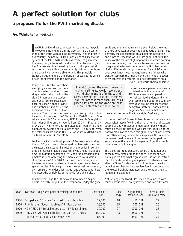## **A perfect solution for clubs**

### **a proposed fix for the PW-5 marketing disaster**

**Fred Weinholtz**, *from AG/Skysailor*

WOULD LIKE to draw your attention to the fact that, with 40,000 gliding members in the German Aero Club, one WOULD LIKE to draw your attention to the fact that, with<br>40,000 gliding members in the German Aero Club, one<br>third of the world wide gliding community lives and flies in our country. The nearly 1000 German clubs still stick to the system of the late 1920s, which was created to guarantee that everybody interested could afford the pleasure of gliding. This was and is achieved by the iron principle that all work to be done within the community is done on an honorary basis by all who are able to do it. This principle includes all club members, the president as well as the winch driver, the secretary and the instructor.

In my club, 86 active members are flying eleven seats on four double-seaters and on three single seaters, all owned by the club, 25 members are students, without a licence. Past experience has shown that a sufficient number of students is the backbone of successful club op-

erations. The cost for the members are: yearly subscription including insurance is 400 DM adults, 200 DM youth. One winch launch is 6 DM for adults, 4 DM for youth. One gliding hour (depending on the type) is from 12 DM (K8) to 24 DM (ASK-21 or Twin Acro), and free after four hours in a single flight. At an average of 50 launches and 40 hours per year, the total costs are about 1000 DM for youth (25 DM/hr) and 1500 DM for adults (37.50 DM/hr).

Looking back at the development of German clubs during the last 50 years, I recognize several double seater plus single seater pairs used for instruction and practice in certain time periods (see table below). Merely by the purchase of a new PW-6 double seater and PW-5 pair for instruction and practice, instead of buying the more expensive gliders, a club can save 40% or 60,000DM. Even more money could be saved as a result of cheaper insurance, recovered hangar space, simpler (light weight) trailers, lower maintenance, etc, etc. I am sure no glider pilot has got any doubts about how important the availability of money is for club survival.

Just fifty years ago the PW-5 would have been a "superorchid", ardently longed for its performance. Today, the glide angle and the minimum sink are even below the ones of the Club Class. But does not a glide ratio of 33/1 meet perfectly the expectations on a glider for instruction and practice? Does the World Class glider not fulfill the wishes of the masses of gliding folks who desire nothing more from soaring than fun, excitement and recreation? Is a glider able to perform all legs of a Gold badge, including Diamonds, not good enough for a club? Moreover, does it not meet the requirements of those who want to compare their skills with others, who are eager to fly contests and records? Is it not competitive on all

The IGC backed the wrong horse by trying to stimulate world records and world championships for the World Class. They did not take into consideration the fact that more than 90% of all glider pilots around the globe are absolutely uninterested in these matters.

levels up to world championships? It must be a real pleasure to accommodate double the number of PW-5s in a hangar compared to

normal standard gliders. And whoever complained about the painfully strenuous ground transport of the heavy two-seaters — particularly in beginners' courses on hot summer

days — will welcome the lightweight PW-6 very much.

In the air the PW-5 is easy to handle and extremely maneuverable. I myself flew in a thermal a number of sixteen second circles with about 45 degrees of bank without touching the stick, just by a well-set trim. Because of the narrow radius of its circles, this glider often climbs better than other leading competition sailplanes. This, of course, decreases the difference of the cross-country performance by more than would be expected from the simple comparison of glide angles.

The trailers for road transport can be a lot lighter and consequently simpler than the ones used for conventional gliders. And what a great relief it is for the instructor if he has to send only one person to retrieve a pilot after his Silver C distance. Last but not least, the winch launches are cheaper because less fuel is consumed and the release height is increased, and the cables are less loaded and last longer.

Not long ago the World Class idea was launched with much enthusiasm. Cleverly invented and carefully formu-

| Year | Two-seat / single-seat pairs of training ships flown     | Cost of pair<br>(DM) | Glide<br>angle | Avg. monthly<br>income in Ger | Cost of pair<br>(mo. of income) |
|------|----------------------------------------------------------|----------------------|----------------|-------------------------------|---------------------------------|
| 1954 | Doppelraab / Grunau Baby (est. cost if bought)           | 12,000               | 18             | 450 DM                        | 27                              |
| 1960 | Rhönlerche / Specht doubles, K8 / Spatz singles          | 18,000               | 23             | 700 DM                        | 26                              |
|      | 1970 K7 / ASK-13 / Bergfalke doubles, K8 / Spatz singles | 30,000               | 27             | 1200 DM                       | 25                              |
| 1999 | ASK-21 / Twin Acro doubles, ASK-23 / LS4 singles         | 150,000              | 43             | 3500 DM                       | 43                              |
|      | But if a PW-6 / PW-5 pair were used                      | 85,000               | 34             | 3500 DM                       | 24                              |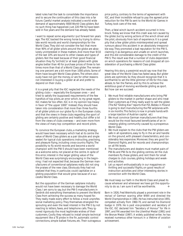lated rules had the task to consolidate the importance and to secure the continuation of this class into a far future. Careful market analysis indicated a world wide demand of approximately 4000 World Class gliders. But no such thing has happened. Just 220 PW-5s have been sold in five years and the demand has already faded.

I want to repeat some arguments I put forward ten years ago. The IGC backed the wrong horse by trying to stimulate world records and world championships for the World Class. They did not consider the fact that more than 90% of all glider pilots around the globe are absolutely uninterested in these matters. And more than 9/10 of the last 10% are bound to other classes and types of gliders. Not the least because of their good financial situation they fly "orchids", or at least gliders with glide angles better than 40 for purchase prices of three to ten times more than that of a World Class glider. The remaining one percent are a bit more than 1000 pilots. Some of them have bought World Class gliders. The others obviously have not got the money, or are for other reasons not interested in buying a glider at all and prefer to depend on their clubs.

It is a great pity that the IGC neglected the needs of the gliding clubs — especially the European ones — and tried to satisfy the (supposed) requirements of the few handfuls of top pilots, an error which, to my great regret, IGC makes far too often. IGC is in my opinion top-heavy in favor of "the upper 1000". Instead, they should have taken into consideration that more than three fourths of all glider pilots on our globe fly in the European clubs, and that the views in these clubs regarding the sport of gliding are certainly positive and healthy, but differ a lot from the views of clubs overseas — and even more from the views of many top competition and record pilots.

To convince the European clubs, a marketing strategy would have been necessary which had at its centre the value of World Class gliders as a pair (double and single seater) for typical club operations: instructing, practising, and pleasure flying, including cross-country flights. The possibility to fly world records and become a world champion with the PW-5 should have been mentioned as a welcome extra, *not* placed at the centre. In spite of this error, interest in the larger gliding value of the World Class was surprisingly encouraging in the beginning. I had not expected that, because the German manufacturers of conventional sailplanes really did not sing the praises of the new class. Obviously they had not realized that they, in particular, could capitalize on a gliding population that would grow because of a successful World Class.

But the opposition of the German sailplane industry would not have been necessary to damage the World Class. I am sorry to say, but the PW-5 manufacturers in Swidnik did everything themselves to prevent the World Class from achieving the success so many hoped for. They really made every effort to follow a most unprofessional marketing policy. They themselves strangled the sprouting and even the least interest in the PW-5 by not reacting to letters, faxes, and telephone calls. They ignored rigorously the most legitimate wishes of their customers. Coolly they refused to install simple technical equipment like a TE probe in the fin, automatic control connections, simple ballast fixtures, etc. Their outrageous

price policy, contrary to the terms of agreement with IGC, and their incredible refusal to pay the agreed price reduction for the PW-5s sent to the World Air Games in Turkey, took care of the rest.

Then, a fatal winch launch accident occurred in Innsbruck. Today we know that this crash was not caused by the glider, but by wrong actions of the winch driver and the pilot, obviously from lack of experience. It is a great pity that a few glider pilots misinterpreted and spread rumours about this accident in an absolutely irresponsible way. They promoted a bad reputation for the PW-5, claiming it as dangerous and unsafe on winch launches, and this did considerable damage to the credit of the PW-5. The result was that a number of clubs dependent on winch operations for reasons of cost dropped all consideration of purchasing a World Class glider.

Hearing this story, a pessimist would say now that the great idea of the World Class has faded away. But glider pilots are optimists. So they should recognize that it is worthwhile to set the little glimmer of life for this class ablaze, to fan the flames, and by this to achieve the ambitious goal of reviving worldwide gliding as sport. But how can we succeed:

- 1 We must find reliable manufacturers who bring PW gliders to the market in perfect shape and who treat their customers as if they really want to sell the glider. *(The NZ "Gliding Kiwi" reports that PZL Bielsko in Poland is going to start manufacturing the PW sailplanes within six months. This factory is now in private hands with a large injection of Austrian capital. ed.)*
- 2 We must convince German manufacturers that they would be the most favoured beneficiaries of an increasing gliding community caused by a prosperous World Class.
- 3 We must explain to the clubs that the PW gliders are safe in all operations, easy to fly in the air and handle on the ground, with pleasant characteristics, and considerably less expensive. Moreover, they are good for Diamond flights, and for records and championships on all FAI levels.
- 4 The manufacturers and dealers must market pairs of PW-6s and PW-5s to the gliding centres, let the club members fly these gliders, and rent them for small charges to club courses, gliding holidays and weekend activities.
- 5 Let us report enthusiastically in our magazines on thrilling and successful flights, on good results of instruction activities and other interesting stories in connection with the World Class.

We must keep our faith in the World Class and plead its cause wherever and whenever we have got the opportunity to do so. I am sure it will be worthwhile. ❖

*Born in 1926, Fred Weinholtz played a prominent role in the revival of German soaring after WWII and directed the World Championships in 1981. He has instructed since 1955, competed actively from 1960-70, and earned his Diamond badge in 1976. He is past vice-president and secretary of the IGC. IGC declared him "Secretary of Honour" for life in 1997, and FAI awarded him the Lilienthal Medal (1991) and the Bronze Medal (1997). A widely published writer, he has received numerous other honours in a lifetime of aviation achievement.*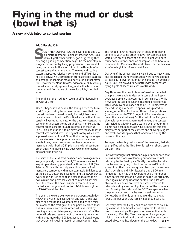# **Flying in the mud or dust (bowl that is)**

**A new pilot's intro to contest soaring**

**Eric Gillespie**, SOSA

 OON AFTER COMPLETING the Silver badge and 300 kilometre Diamond Goal flight (see the 4/99 issue of *free flight*), other pilots began suggesting that **EXECUTE COMPLETING** the Silver badge and 300 kilometre Diamond Goal flight (see the 4/99 issue of *free flight*), other pilots began suggesting that entering a gliding competition might be the next step in a logical cross-country flying progression. However, still being quite new to the sport, I found the thought of a contest somewhat intimidating. The rules and scoring systems appeared relatively complex and difficult for a novice pilot. As well, competition stories of large gaggles and straight-in landings etc. did not sound all that attractive. However, the "Mud Bowl", SOSA's annual club soaring contest was quickly approaching, and with a bit of encouragement from some of the senior pilots, I decided to enter.

The origins of the Mud Bowl seem to differ depending on who you ask.

When it began it was held in the spring, hence the term Mud Bowl, according to some observers. Now that the contest has been moved to early August, it has more recently been dubbed the Dust Bowl, a name that it has certainly lived up to, at least for the past few years. At the same time, this seems to be an unofficial moniker, as the contest organizers continue to refer to it as the Mud Bowl. This lends support to an alternative theory, that the contest was named after the original trophy, which was supposedly made of mud. Given that a trophy no longer appears to exist, this supports this second version of events. In any case, the contest has been popular for many years with both SOSA pilots and with those from other clubs, who have always been welcome to participate and who often do.

The spirit of the Mud Bowl has been, and was again this year, completely that of a "fun fly". The rules were kept very simple, allowing pilots to do a three hour PST (Pilot Selected Task), with the only exception being a final mandatory turnpoint within approximately 10 kilometres of the field to better organize returning traffic. Otherwise, every pilot was free to choose a task that suited their own aircraft and personal level of comfort. As has also been the case in the past, this year's competition attracted a full range of entries from 1-26 drivers right up to ASW-27s and the like.

This year, there were over twenty participants each day. However, a well-organized launch grid with three towplanes and reasonable weather kept gaggles to a minimum around the start gate. At one point I realized that I was in a thermal with seven other sailplanes. Still, by keeping an appropriate spacing between aircraft at the same altitude and learning not to get overly concerned with planes more than 500 feet above or below, I found that everyone including myself remained comfortable.

The range of entries meant that in addition to being able to fly with some other relative newcomers, pilots were often able to share part of their flight with both former and current Canadian champions, who have also competed for Canada at the world level. For me, this was a definite highlight of each day's flying.

Day One of the contest was cancelled due to heavy rains and associated thunderstorms that were severe enough to knock out power throughout the area for a number of hours. Day Two proved to be better, with competitors flying flights at speeds in excess of 87 km/h.

Day Three was the best in terms of weather, provided that pilots were able to deal with some of the heavy overdevelopment that occurred in certain areas. While a few land-outs did occur, the best speed posted was 107.7 km/h over a distance of about 325 kilometres. In the end though, very little emphasis was placed on scoring, other than for the top three or four positions (congratulations to Wilf Krueger in K2 who ended up being the overall winner). For the rest of the field, considerable leniency was permitted to keep the contest fun, including allowing some scoring even though turnpoints had been missed, allowing turnpoints that officially were not part of the contest, and allowing relights and fresh starts for planes that landed out during the course of the day.

Perhaps the two biggest smiles of the weekend, that also exemplified what the Mud Bowl is really all about, came on Day Three.

Part way through that afternoon, a pilot announced that he was in the process of landing out and would not be returning to the field by air. Shortly thereafter, he called that he was not going to land out, as he had "found some lift, so that I can now go and land out somewhere else" ... which he did. A bit later, the club's 1-26 also landed out, as it had the day before, and a number of times earlier this season on various badge leg attempts. Once again in the spirit of the contest, the pilot was able to obtain an aeroretrieve and was permitted to relaunch and fly a second flight as part of the competition. Knowing the history of the 1-26's escapades, when the pilot announced that he was indeed re-starting, Contest Ground's only comment over the radio was, "well .... I'll bet your crew is really happy to hear this".

Generally, after the flying ends, some form of social dining event has traditionally been organized for at least one of the evenings. This year was no exception, with "Italian Night" on Day Two. It was great for a younger pilot to be able to sit and chat with much more experienced pilots who had flown on the same day, ➯ **p25**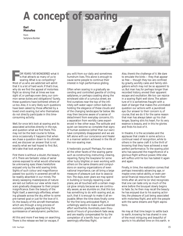# *A concept of soaring*

**Earl Menefee**

from *Sailplane Builder*



OR YEARS I'VE WONDERED what it is that attracts so many of us to soaring. What is so compelling? OR YEARS I'VE WONDERED what<br>is that attracts so many of us to<br>soaring. What is so compelling?<br>Most of us who are addicted will admit that it is a lot of hard work. If that's true, why do we find the appeal of motorless flight so strong that at times we lose sight of, or perhaps even deny, our common sense duties and obligations? Surely, these questions have bothered others of us too. Also, it is very likely such questions have been asked by those affected by a loved one's soaring, but who themselves do not directly participate in this timeconsuming activity.

Well, for once let's look at soaring and its associated activities directly in the eye, and question what we find there. This may not be the best course to follow, since occasionally it happens that when we chase a question down to its ultimate end, we discover an answer that is not exactly what we had hoped to find. But, let's take that look anyhow.

First there is without a doubt, the beauty of it. There are fantastic vistas of aerial scenes exposed to what would otherwise be unknowing eyes. Views heretofore enjoyed only by the wild soaring birds. Sights of such colour and magnificence passed too quickly in powered aircraft to be readily absorbed in our minds. The slowly sweeping masterpieces of nature are laid out before our view while man's scars gradually disappear to their proper insignificance. Even the beauty of the flight itself, a seemingly effortless, wheeling glissade across the sky, either to some pre-named goal or just for the love of it. Or, the beauty of the aircraft themselves which are, through a long process of evolution, gradually approaching the quintessence of aerodynamic perfection.

All this and more if we keep on searching. There is the release we feel (or escape, if

you will) from our daily and sometimes humdrum lives. This alone is enough to cause some people to continue their interest in high performance gliding.

Often when soaring in a gradually ascending and controlled gavotte of circling sailplanes, or perhaps coasting along the windward side of a cumulus street, we find ourselves near the top of the infinitely soft water vapor cotton balls beholding the elegance of these clouds and of the changing landscapes far below. We may then become aware of a sense of detachment from everyday concerns. It's a separation from worldly cares experienced in few other ways. The solitude and quiet can become so complete that signs of human existence (other than our own) have completely disappeared and we are left alone with our conscience and Healer in a manner seldom achieved in the life of the non-soaring man.

A hedonistic pursuit? Perhaps. For even all the other facets of the soaring game such as constructing, instructing, crewing, repairing, flying the towplane for some other lucky blighter, or even working with others on the same dreams and compulsions on soaring organizations of even national importance, can all bring a large measure of pleasure just due to association. The days, even years we may spend in building or lovingly repairing a sailplane, are all touched with a certain magical glow simply because we are continually aware, as we stumble on, that this too has something to do with soaring and, as such, that it is enough to make it all enjoyable. When the time does finally come for the first long anticipated flight, it unfailingly seems to make such sustained effort worthwhile. Hundreds, even thousands of hours of groundwork fade away and are readily compensated for by the completion of a terrific hour or two of seemingly effortless flight.

Also, there's the challenge of it. We dare to emulate the birds — they that appear so free — though they too are confined by gravity, worldly cares and family obligations which may not be so apparent to us. But man has, for perhaps longer than recorded history, envied their apparent escape and exultation. We too can rejoice in a soaring flight well done. The adventure of it is sometimes fraught with a dash of danger that makes the uninitiated question our actions with a jaundiced eye. Our answer to their concern is, of course, that we do it for the same reason that man has always taken up his challenges. Soaring stirs his heart. For its very essence is beauty, and in this he glories and finds his love of it.

In theatre, it is the accolades and the applause that create in some actors a continual need of recognition, while to others in the same craft it is the thrill of knowing that they have achieved a near perfect performance. To the soaring pilot who has savoured the magnificence of a glorious flight without power, little else will suffice until he too has tasted it again and again.

Finally, in time, the realization comes that perhaps inexorably advancing age, or maybe ones native ability, or even personal financial resources do have their limits after all, and he (or she) recognizes that one can taste only so much of the wine before the bouquet slowly begins to fade. So, he then may recall the beauty he has enjoyed due to his soaring activities, the pleasure of just being associated with motorless flight, and with the people with the same dreams and flight aspirations.

He may at that time begin to settle back to earth, knowing he has shared in one of the most intriguing and beautiful of sports in his allotted time on this earth.  $\triangleleft$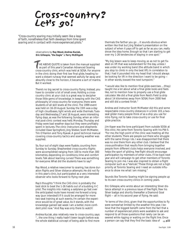# Cross-country? Let's go!

*"Cross-country soaring may initially seem like a leap of faith, nonetheless that faith develops from time spent soaring and in contact with more experienced pilots."*

> observations by **Ray Wood, Andrea Kuciak, Eric Gillespie, "the Eagle"** & **Terry McElligott**

HE ABOVE QUOTE is taken from the manual supplied as part of this year's Canadian Advanced Soaring cross-country clinic, which was held at SOSA. For anyone in the clinic doing their first low final glide, heading toward a distant runway that seemed awfully far away and absurdly close to the horizon, it became a sort of mantra. But it worked. T<sub>i</sub>

There's no big secret to cross-country flying. Instead, you have to consider a lot of small ones. Holding a crosscountry clinic at your club is a great way to decipher those little gems of knowledge. In keeping with the CAS philosophy of cross-country for everyone, there were students of all skill levels at the clinic. The 1999 event was held on 16-20 August. Sunday the 15th was a day of high cloudbases, light winds and wide thermals. Tuesday and Wednesday,17 and 18 August, were interesting flying days, as was the following Sunday, when an informal post-clinic contest was held. Monday, Thursday and Friday were bad weather days but they were profitably spent in lectures. The clinic instructors and shepherds included Dave Springford, Jörg Stieber, Scott McMaster, Tim O'Hanlon and Tony Rywak. A good technical manual covering cross-country tactics and soaring weather was supplied.

So, four out of eight days were flyable, counting from Sunday to Sunday. Shepherded cross-country flights were accomplished ranging from 100 to more than 300 kilometres, depending on conditions, time and comfort levels. Talk about learning curves! There was something for everyone. What did the students have to say?

Ray Wood, a relative newcomer to soaring, has done duration flights and Silver distance attempts. He did not fly in this year's clinic, but participated as a very interested observer who looks forward to flying next year.

Ray's thoughts: "I think the CAS clinic is probably the best stick to beat the 1-26 habits out of a budding X-C pilot. The insights into making a sailplane go fast over the anticipated route have moved me forward a long way (pun intended!) If it could be arranged for more two-seat training at such events, I'm certain the experience would be of great value. As it stands, with the knowledge gained last week I am a better, more confident pilot now." And Ray was only there to watch!

Andrea Kuciak, also relatively new to cross-country, says: "... the one thing I really hadn't been taught before was the whole statistical concept of being able to find more

thermals the farther you go ... it sounds obvious when written like that but Jörg Stieber's presentation on the subject of when it pays off to get as far as you can, really drove the idea home. Enough so that I am starting to get over my 1-26 tendencies of staying in one spot."

"My big lesson was to keep moving, so as not to get fixated on lift that was substandard for the day, unless I was under my working band (the altitude band in which you stop to climb in only the best lift). In correlation to that, I had it pounded into my head that I should always be looking for lift in the direction I want to be going in other words, toward the next turnpoint."

"I would also like to mention final glide exercises ... (they) taught me a lot about what a final glide looks and feels like, not to mention how to properly use a final glide calculator. We did a final glide from Reid's Field (a strip about 14 kilometres away from SOSA) from 2000 feet and still did a contest finish."

Andrea and instructor Scott McMaster did this and some respectable cross-country distances in a Grob 103, a twoseat glider many people think of as a ship you use for intro flying, not to take cross-country or use for final glide practice.

Jim Kayer was the lone participant from outside SOSA at this clinic. He came from Toronto Soaring with his PW-5. "For me, the high point of the clinic was meeting all the other students. There are people out there who struggle with the same things I do. I was disappointed that there was no one there from any other club. I believe that the cross-pollination that results from bringing together people from different clubs helps everyone involved, and helps the sport of gliding. *free flight* should encourage participation by members of other clubs. I'll be back next year and will campaign to get other members of Toronto Soaring to join me. I was also inspired to obtain a flight computer such as a "Varicalc". These things are not a high priority at Toronto Soaring and I need an outside influence to show me what I am missing."

Sounds like Toronto Soaring might be signing people up to its own cross-country clinics in coming years.

Eric Gillespie, who wrote about an interesting Silver distance attempt in a previous issue of *free flight*, flew his Silver badge and shortly thereafter a Diamond Goal flight — all in his second year of flying. He said:

"In terms of the clinic, given that the opportunities to fly were somewhat limited by the weather this year, I believe that the biggest benefit came from the fact that a number of experienced pilots were available to ask and respond to all those questions that rarely can be answered while rigging or waiting on the flight line. Once a person can say that they find the basic idea of ➯ **p22**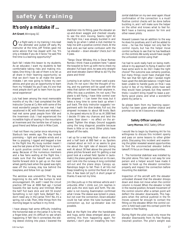### **safety & training**

### **It's only a mistake if ...**

**Art Grant**, Winnipeg GC

On a flight early in my training I mis-read<br>the altimeter and pulled off early. My instructor at the time, Jeff Tinkler, gave me some advice that has stayed with me. "It's only a mistake if you do it twice," he said,"the first time is a learning opportunity!"

Each fall I relate this lesson to my students. As an educator, I want my students to feel comfortable taking risks and making mistakes. One thing I do ask of them is to let us all share in their 'learning opportunity', so that we don't have to all make the same mistake. I am now going to follow my own advice, and give you an opportunity to learn from my "mistake". As you'll see, it's one that most people don't get to learn from by personal experience!

July had been among the most memorable months of my life. I had completed the SAC Instructor Course at Cu Nim with some of the most wonderful people I've ever met. I had vacationed in BC with friends and relatives. I had met some great people from VSA and the Invermere club. I had experienced the incredible highs of soaring in the mountains at Invermere and the terrible low of losing a good friend and fellow pilot in Mike Cook.

I had not flown my Jantar since returning to Starbuck two weeks ago. The day looked promising — light and variable winds and a few cu popping. I rigged and begged a tow to the flight line. My lousy number meant I was the last plane at the flight line to launch. A quick positive control check and I was away. Because of the numerous members and a few fams waiting at the flight line, I made sure that the takeoff was smooth. Gentle forward stick to get up on the main wheel, gently back when the speed was right, ease off the runway, stay low behind the towplane, and follow him up. Great!

The aerotow was uneventful. The day was beginning to die, with few bumps to lend encouragement. Oh, well! I need the circuit practice. Off tow at 3000 feet agl, I turned towards the last bump and trimmed. *What the hell?* Full back stick and still 55 knots? Something is not right here. Ballast? No, I don't need any in the Jantar. Trim? No, it's a spring, not a tab. Then, little things from the morning began to surface in my mind.

I have always had some difficulty installing the horizontal stab on the Jantar. It is, for me, a finger-biter, and it's difficult to see what's happening. It 'felt' like it connected, the sliding sleeve clicking into place. I lowered the stabilizer into its fitting, gave the elevator an up-and-down waggle and checked visually to see the stick moving. Seems right! At the flight line, I was already buckled in and ready to go when I called a club member to help me with a positive control check. At the back end, we had some confusion with the 'up elevator — down elevator' check, but I let it pass.

"Tango Oscar Whiskey, this is Oscar Romeo Romeo. I think I have a problem here." I asked the towpilot to form up with me to check my elevator. Full back stick, he sees only straight and level elevator. Damn! What to do? Fly the plane and think!

Jumping is an option. I've never used a parachute. I'm not sure I like the thought of trying, and my partners will be upset with the mess that option will leave their airplane in. (Why this was a problem, I'm not sure.) The plane is still flying. I have little control over the airspeed — I can lower the nose, but it takes a long time to come back up when I pull back. The duty instructor suggests I experiment with the dive brakes. Full out, the airspeed increases to about 68 knots. Back in, the speed returns to 55 or so. At 2000 feet I decide I'll take my chances and land the plane. Gear down — no affect on the airspeed. Tighten the straps. Ground suggests using the long diagonal, possible because there is little or no wind. Other pilots have stayed off the radio.

I set up for a real long final — about a mile and a half back at 800 feet or so. Spoilers cracked about an inch or so seems to give me about the right rate of descent. Going well. At about 30 feet above the ground the plane pitches forward and I'm getting a real good look at a wheat field. Spoiler in (automatic), the plane gently levels out on its own, and I sink into the runway. A long controlled roll-out and the plane stops. Canopy up. Raindrops begin to fall. Then it all hits me! Deep breathing to control the flood of emotion. A few tears (of joy?). A short prayer of thanks. It was not my time.

Jim Oke pulls up in the retrieve vehicle and I unbuckle. After I climb out, Jim reaches in and pulls the stick back and forth. The elevator is not moving. Examination confirmed what I knew. The sleeve was locked in place, but not over the connection. Down-elevator could be had when the tube bumped the connection up, but up-elevator was not possible.

Back at the flight line after the handshakes and hugs, some ideas emerged about preventing this from happening again. For starters, I don't plan on installing the hori-

zontal stabilizer on my own ever again. Visual confirmation of the connection is a must! Positive control checks will be done before buckling in, and I will make sure the helper on the other end knows what to feel for. We'll have a training session for him and other newer pilots.

Howard Loewen has an addition to the way he does his positives, and it will be added to mine ... he has the helper not only feel for control inputs, but has the helper move control surfaces to see that he has feedback on the controls. We surely would have caught the unhooked control using that!

I've had to work really hard on being methodical in my approach to flying. It seems I still have some work to do. Did I make the right choice? The outcome was certainly positive, but many things could have changed that. The rain that fell right after I landed might have upset the delicate balance. I might have been unable to handle gusts on final. I was lucky! A few of my fellow pilots have said they would have jumped, but they weren't there. I couldn't bring myself to leave a perfectly good plane, and what a wonderful plane my Jantar is.

So please learn from my 'learning opportunity'. I've been given another chance and promise not to let it become a mistake.

### **Safety Officer analysis**

### **Larry Morrow**, WGC Safety Officer

I would like to begin by thanking Art for his willingness to discuss this incident openly and pass on some lessons to other glider pilots. Discussing this incident and examining the glider revealed several opportunities to find the unconnected elevator before takeoff. I'll focus on these opportunities.

1 The horizontal stabilizer was installed by the pilot alone. This task is not easy for one person and a helper would have made it easier to hook up the elevator connection properly and inspect the connection before mounting the stabilizer.

Inspection of the aircraft with the elevator unhooked showed that the elevator droops down and does not move when the control column is moved. When the elevator is held in the neutral position, forward movement of the control column after a certain point will deflect the elevator downwards. This happens when the vertical pushrod in the fin moves upward far enough to contact the fitting on the elevator. When the control column is held back past this contact point the elevator is free floating.

During flight the pilot could only move the elevator downwards from its free floating (neutral) position. The pilot's weight was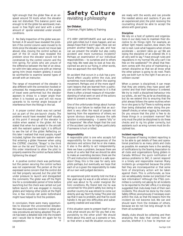light enough that the glider flew at an airspeed around 55 knots when the elevator was not disturbed. This balance point was enough to let the glider be aerotowed, maneuver in free flight and land with a small amount of spoiler extended under smooth conditions.

2 No Daily Inspection of the glider was performed. A DI would have revealed the problem if the control column were moved to its limits since the elevator would not move (see above). Also, moving the control surface as part of the DI could have revealed the problem since the elevator would not be constrained by the control column and the trim spring. For pilots who are unsure of the difference between the feel of an elevator with trim tabs versus one with an internal spring trim (most modern gliders), it would be worthwhile to examine several types of aircraft with an instructor.

The range of movement of the elevator is also different with the connection hooked or unhooked. No measurements of the angles of travel were performed but the elevator appears to droop to a larger angle than when it is hooked up and will not move upwards to its normal angle because of interference from the fittings in the tail.

3 A proper control check was not carried out as part of the pre-launch checks. The problem would have revealed itself visually at this point if enough of the elevator is visible when seated in the glider. Art has stated that when he is seated in the aircraft with the restraint system tight, it is difficult to see the tail of the glider. Reflecting on this later I realized that most people, myself included, tighten the restraint system when first entering a glider. However when using the CISTRSC checklist, "Straps" is the third item on the list and "Controls" is the first. Is this order intentional to allow the pilot to properly examine the control surfaces before tightening the straps?

4 A positive control check was performed, but the person securing the control surface was not experienced. The person at the tail expressed some concern that the control did not feel properly secured, but the pilot felt under pressure to launch and disregarded the comments. The glider was off the flight line for a considerable period of time before launching but the check was carried out just before launch. Art was engaged in moving gliders and helping other pilots at the flight line. A few minutes set aside beforehand might have helped to find the problem.

In conclusion, there were many opportunities to discover the unconnected elevator. We have discussed the incident in detail and new procedures are being adopted. This article has been a detailed look into the incident and I would like to thank Art again for his cooperation. ❖

### **Safety Culture**

revisiting a philosophy

### **Ian Oldaker**,

Chairman, Flight Safety & Training

IT'S VERY UNFORTUNATE and sad when a pilot gets killed, but it does happen, and we always hope that it won't again. How can we prevent another fatality you ask, and how can we prevent the smaller but also costly accident and more numerous incidents? Perhaps an examination of our individual responsibilities — to ourselves and to others may help. We need also to look at how disciplined we are to our flying, in other words, how we approach the next flight.

An accident that occurs in a club has a profound effect usually within the club, and sometimes more broadly within the soaring movement. Perhaps one of the more significant lessons that are learned from a particular accident and the responses to it is that there is often a broad measure of misunderstanding of what went on and of the actions taken to prevent a recurrence.

One of the unfortunate things about human beings is our failure to realize that an accident is very often the result of people not learning from the experience of others; we ignore obvious dangers because the safe solution is embarrassing — it seems "silly" or is "expensive". We often forget that the cost of the accident can be far higher, particularly if someone is hurt or killed.

### **Responsibility**

A responsible pilot is one who accepts full responsibility for the consequences of the decisions and actions that he or she makes. It also is the ability to act independently. Here we have a problem, because there are some of us who feel that we should be able to make an overriding decision; there are the CFI and instructors interested in a safe operation! Okay, this is the case for early solo pilots perhaps, but eventually we hope that each of us is given the responsibility to make all our own well-judged decisions.

An experienced pilot recently told me that a few years ago he was at a site where a local pilot was about to fly under marginal (for him) conditions. My friend told me he was concerned for this pilot's safety but, being in another country he was reticent to come out directly and say, "don't fly today". The pilot did say that it was no problem, and that he could handle it. He got into difficulties and subsequently crashed and was killed.

If this situation were to present itself in your club, what would you do? Do you feel a responsibility to the other pilot? We should think about this, work up a scenario or two, so that when a real-life situation occurs, we are ready with the words, and can provide the needed advice and cautions. If you are an experienced pilot, the pilot receiving the counselling should be able to accept the advice with good grace.

### **Discipline**

We rely on a host of systems and organizations in our daily lives to maintain their discipline to do things right. For example, an amber light means caution, slow down, the red is next. Look what happens when drivers accelerate — accident rates go up! We are losing the discipline of an ordered life. It is all very well to say, "I have enough rules and regulations in my 'normal' life, why can't I be free on the weekends?" I'm afraid that freedom comes with the price of maintaining a certain discipline so that we all know what the other person is going to do next. That's why we both turn to the right if we are on a collision course!

When a person is disciplined, it can mean that they are orderly, they have good selfcontrol and that their behaviour is ordered. We try to instill a disciplined behaviour into our pilots... do we? Yes, as far as checklists go, but do we extend this to ensuring that the pilot always follows the same routines when he or she goes to fly? There is nothing worse than being distracted when doing the pretakeoff checks, or when rigging, for example. Do you ensure that the pilot is free to do these things in a consistent manner? Not only must the pilot be disciplined to do these checks and to rig his glider correctly, but assistants such as wing runners must be disciplined too.

### **Incident reporting**

The purpose of having incident reporting is to be able to get details of fixes and operational practices to as many pilots and clubs as possible. An example here is the sending of notifications by the Soaring Association to all clubs and organizations flying gliders in Canada. Without the quick notification of serious problems to SAC, it cannot respond in a timely and responsible manner. Many incidents go unreported because the pilots feel they are inconsequential or that some form of disciplinary action will be taken against them. This is unfortunate, as how can we adequately review our practices if we lack information? Although the FT&S committee is currently not asking for all incidents to be reported to the SAC office, it is strongly suggested that clubs keep track of their own incidents. This should be done by the club's Safety Officer, anonymously if necessary even within the club, so that the lessons from the incident do not become lost. We can and should learn from the mistakes of others, because we do not live long enough to do them all ourselves!

Ideally, clubs should be collecting and then analyzing the data that comes from all sources, whether it is how to improve our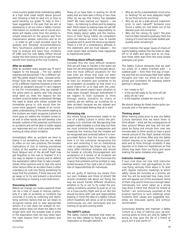cross-country speed while maintaining safety at a high level (read height above ground and choosing a field to land in!), or how to avoid bending our glider. To help in this, I have suggested in the past that we aim at developing in all our clubs a 'Safety Culture'. Information on incidents and of course accidents will ideally come from the pilot(s) involved, observers on the ground and from maintenance people, instructors and so on — in order to get a well rounded input for analysis and remedial recommendations. Terry Southwood published an article on how to analyze and learn from incidents *(ff 1/98)*, and the club Safety Officer should review this from time to time, to get the most benefit from looking at the club incidents.

### **After an accident**

After an accident many people say, "It won't happen to me because ... "I'm too careful/ experienced/disciplined", "I fly a different glider", "My glider doesn't have... (choose something)". Sure, the pilot may be more careful or fly a different machine; however, is this not simply an escapist's excuse? It can't happen to me (I'm invulnerable), they say. Instead if the pilots were to openly and fully discuss what went on, then the reasons for the incident could be better understood. Perhaps the need to share with others outside the immediate group or club would then become more apparent. Instead of an incomplete understanding of the events leading to the incident, we might recognize a whole lot more goes on before the incident comes to an end. In other words, we will develop a far broader outlook of the potential contributors to accidents and will be able to better assess our responses and our club's practices when looking at other pilots' incidents.

Immediately after an accident we tend to blame it on something that we can relate to, often on our own practices. The broader implications of club or training procedures (rules), of the weather or pilot factors (eg. food, fatigue) and of the aircraft itself may get forgotten in the rush to "explain" it. It is too easy to explain it quickly and to defend the explanation rather than to take a breath, obtain other opinions and to look into some other factors. After an accident there is often a tendency to rush into "doing something" to hope that the problem, if there was one, will go away; or to try and prevent a recurrence by instituting or revising a rule (restriction).

### **Discussing accidents**

Before we change our *modus operandi* there can be a host of issues to discuss, particularly if a rash of accidents or incidents has occurred. It is only by collecting and identifying common factors that we can begin to recognize trends and to take appropriate actions. If a club does not analyze its incidents and/or does not share the data in the longer term with the broader base of pilots in the Association, then we may never learn the right lessons from our accidents and incidents.

Many of us have been in soaring for 20-30 years, and we have seen a thing or two. How often do we say that history has repeated itself? We have learned our lessons — we hope — by listening to others and by keeping alert. Pilots newer to soaring have not yet felt the need perhaps, nor the responsibility to think deeply about safety and the implications of their flying habits. As competent pilots we believe we know how to handle ourselves and to avoid the obvious accidents. There is a bit of a complacency attitude in this statement, and we must beware — the most recent fatal accidents have happened to experienced pilots.

### **Thinking about difficult events**

Consider this: the most difficult situation that we will have to handle is the event we have not yet anticipated and thought about. And the most difficult situations for the new pilot are those that have not been experienced or analyzed. Therefore we need to train our students and ourselves to be as competent as possible so that there is a good chance for us to deal with the unexpected. We cannot expect every situation to have been thought through beforehand! If we neglect to train ourselves to think through various scenarios (or chains of events), are we 'setting up' ourselves for a later accident because we are relaxed and have a comfortable feeling that all is well?

### **Minimizing risk**

Our whole flying environment needs to be one of a Safety Culture in which the philosophy is to minimize risk. Recognizing that people make mistakes is a first step, but then we must minimize their consequences and maximize the chances that the mistake will be recognized and corrected before it is compounded. Notice that the onus for safety here is on the individual recognizing the error and correcting it, not on institutional rules or regulations. Yes, these help, but too many stifle individual initiative and should be looked at critically. Encouragement and acceptance of a review of all incidents are part of the Safety Culture. This minimizes the chance that problems will be omitted or neglected because of too rigid a set of rules and lists of responsibilities for individuals.

Are we guilty of learning too slowly from our own mistakes and those of others? We should constantly talk about our flying, the way we would handle different situations, whether to fly or not to fly under the prevailing conditions, whether to push on or not on a cross-country flight, and so on. But this should be done with care and responsibility bearing in mind the idea of a Safety Culture which hopefully will allow us all to improve continuously our own techniques and our training of up-and-coming pilots.

### **The SAFETY culture**

The Safety Culture demands that every action we take related to flying has a safety implication or thought behind it.

- Why do we fly a standardized circuit prior to landing? *So we have adequate height for our final turns for one thing!*
- Why do we do a walk-around inspection prior to each takeoff? *Someone once found a safety pin had fallen out of the elevator push-rod connection.*
- Why did the canopy fly open? *The pilot had not been trained to positively check the closing of it (and had not been briefed adequately when converting?)*

I don't mention the larger issues of chains of events leading crashes into the trees on takeoff, or of stalls and spins and so on, however these often start from the more simple examples just given.

The Safety Culture demands that we start our pilots on a safety oriented path — a cerebral path — from their first day of training and that we consciously feed them safety thoughts and train our pilots to be disciplined and consistent; for example, before getting in, always check:

- Am I ready to fly?
- Is the aircraft ready to fly, locks off, tail dolly off, etc? and
- Is the weather suitable for me to fly?

We should always do these checks quite consciously and in the same order.

### **Thinking ahead**

When training pilots prior to solo, the Safety Culture demands that we teach them to think ahead — what are the consequences of their actions? Where and how will the sailplane be flying one minute from now, two minutes later, in other words to have a good mental picture of the flight several minutes ahead and at all times. After solo the Safety Culture requires us to openly discuss problems and to think through incidents. It also requires us to share our experiences, so that others may learn from our flying and avoid making the same mistakes once again.

### **Instructor meetings**

If your club does not now hold instructor meetings and/or club get-togethers to discuss flying, seriously think about it. To start with, regular instructor meetings, at which safety issues are included as a priority, are vital. You will be surprised how many incidents will appear out of the woodwork. Some of them may sound innocuous enough taken individually, but when taken as a whole may show a trend that should be looked at further. I am continuously surprised at the positive reactions to such meetings when incidents, their causes and suggested remedies, are discussed openly and without recrimination.

Consciously develop and maintain a Safety Culture as a way of training your up-andcoming pilots to think, act, and fly "safety". If doing so may save the life of a friend of yours, isn't it well worth it? ❖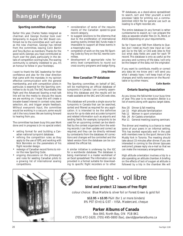### **hangar flying**

### **Sporting committee change**

Earlier this year, Charles Yeates resigned as chairman and George Dunbar took over temporarily. In August, the SAC Board confirmed me to the committee and I will serve as the new chairman. George has retired from the committee, leaving Colin Bantin and Tony Burton as members. Thanks for the good work, George, you have contributed so much over the years, particularly in the details of competition scoring/rules. The soaring community is certainly indebted to you. It's an honour to follow in your footsteps.

I want to thank the SAC leadership for their confidence and also for the clear direction that came with the mandate. In my opinion effective communication with the general membership, and with competition pilots in particular, is essential for the Sporting committee to do its job. The SAC Roundtable, *free flight* and the Advanced Soaring e-mail talk line will be the media to discuss the issues we are working on. I hope this will create a broader-based interest in contest rules, team selection, etc. and trigger ample feedback. Without everyone's input, the committee would be working in a vacuum, some would call it the ivory tower. We are looking forward to hearing from you.

The committee has been busy this year. Work done and in progress is (in no special order):

- setting format for and building a Canadian national turnpoint database.
- refining the competition rules as they apply to the use of GPS, and working with Nick Bonnière on the parameters of his flight recorder design.
- redesign of Canadian record forms to mirror the new Sporting Code.
- ongoing discussions on the philosophy and rules for seeding Canadian pilots to a growing list of international soaring competitions.
- consideration of some of the requirements of the Canadian speed-to-goal record category.
- to suggest solutions to the dilemma that due to the proliferation of international soaring events, limited SAC funds make it impossible to support all these events in a meaningful way.
- completion of work on the new FAI Sporting Code by Tony on the IGC rewrite committee.
- development of appropriate rules for entry level competitions to round out cross-country programs and badge flying.

### **Jörg Stieber**

### **New Canadian TP database**

The Sporting committee, on behalf of SAC, will be maintaining an official database of turnpoints in Canada. I am currently assembling this database and the results will be made available at the SAC and CAS web sites.

This database will provide a single source for turnpoints in Canada that can be searched, sorted and filtered as required for any application. It is intended to be the definitive source for up-to-date and accurate turnpoint and related information such as airports and landing fields. For example, turnpoints to be used for an upcoming contest can be identified by the contest organizers from the existing records. I can then update and correct as required, and they can be directly retrieved by contestants from the database. All corrections and changes will be controlled and the latest version from the database can be considered the official list.

A similar initiative is underway by the IGC for a worldwide database. The database is being maintained in a master worksheet of an Excel spreadsheet. The information can be provided in a format suitable for downloading to specific flight recorders or to other

TP databases, as a stand-alone spreadsheet to search, sort and filter yourself, a word processor table for printing out, a commadelimited ASCII file for general use such as loading to a flight recorder, etc.

The entire database (in any format) is rather cumbersome to export, so I can prepare the data as separate smaller files (in XL, Word, or ASCII) depending on your requirements.

So far I have over 500 from Alberta to Quebec, but I need as much new input as I can get. Go to the SAC or CAS web sites to find out what data fields are used for each TP record. This database is only as useful as the accuracy and currency of the data. I will only be the keeper of the data, *not* the originator.

If you want to contribute, modify or correct any data let me know and I will send you what I already have. I will keep track of any changes and notify everyone on the Roundtable or by other means.

**Colin Bantin**

### **Ontario Soaring Association**

As you know, the fall/winter is our busy time of year. This year is no exception. Below is a list of events along with approx. target dates.

- Nov 20 Dinner & fall meeting
- Jan 15 High altitude familiarization
- Feb 12 Women in sport orientation
- Feb 26 Air Cadets orientation
- Mar 11 General meeting/soaring seminars

The dinner and meeting is a chance to meet some of your peers in an informal setting. This has worked especially well in the past with members new to the sport. Venue is the *Muddy York* in Toronto. The meeting should take about 15 minutes after dinner. If you are interested in coming to the dinner (spouses welcome!), please reply via e-mail so that we can make the necessary arrangements.

High altitude orientation involves a trip to a site operating an altitude chamber. A briefing on the effects of lack of oxygen at altitude is followed by a trip in the chamber. We will



## free flight · vol libre

### **bind and protect 12 issues of free flight**

colour choice: Blue Marble & silver foil or Forest Green & gold foil

**\$12.95 + \$3.95** P&H (for 1 or more binders) 8% PST (Ont) & GST – VISA, Mastercard, cheque

### **Parker Albums of Canada**

Box 840, North Bay, ON P1B 8K1 (705) 472-1620, (705) 495-0800 (fax), david@parkeralbums.ca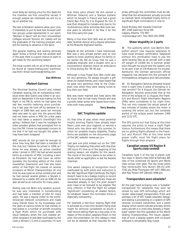most likely be renting a bus for this. Seats for the chamber are first come/first served. If enough people are interested we will try to lay on another trip.

The two orientation sessions allow your club, if interested, to put its best foot forward with two groups under-represented in our sport. "Women in Sport" will be from Universities/ Colleges around Toronto. Air Cadets will be the graduates of the training program, who will be looking to advance in the sport.

The general meeting and soaring seminars again follow a format that has worked well in the past. Here is a good chance to start to get ready for the upcoming season.

The most current info on all of the above can be found at *<www.interlog.com/~kwithrow/ osa.html>* Email: *kwithrow@interlog.com*

#### **Ken Withrow**

### ✝ **Robert Gairnes**

The Montreal Soaring Council and, indeed, Canadian soaring, lost an outstanding individual when Bob Gairns was killed in an accident on September 4. He was making his first flight in his PIK-3c, which he had spent the last few months restoring since purchasing it last year. He took off by aerotow to a height of 2000 feet and some ten minutes later was seen to spin into the ground. Bob had not been active in MSC for a few years but had taken a season's checkflight this spring. I believe that it was his nostalgia for older wooden gliders that prompted him to buy the PIK. I know he expressed concern to me that if he had not bought the glider it may have been scrapped.

MSC records do not go back far enough to show how long Bob had been a member of the club, but I believe he joined in 1956, as I know he was already an active member when I joined in 1957. He had served several terms as a director of MSC, including a term as President. He had also been an editor (possibly the founding editor) of the club's newsletter, *Downwind*, and had also been editor of *free flight*. He crewed on several occasions at World Championships. At one time he was quite an active contest pilot and he had owned several gliders: a Skylark 2, followed by a Libelle 301 and an ASW-20. He also served as an instructor for many years.

Gliding was not Bob's only aviation pursuit, he was very interested in homebuilding and had been a member of EAA for many years. He was a regular visitor to the worldrenowned Oshkosh conventions and made many friends there. To my knowledge over the years at various times he had owned, or had shares in, a number of aircraft including a Tiger Moth which he purchased with Oscar Estebany when the club needed another towplane (it was later purchased by the club); a Stinson L-5, and a Luscombe. I'm sure that there were others! He still owned a Wittman Tailwind, and a Stampe biplane which he bought in France and had a good friend, Ben Price, fly it to England for him. It was then shipped to Canada and, due to his multitudinous other activities, Bob took several years to refurbish it. He flew it for the first time early this year.

Being a true blue Scot, Bob was an enthusiastic Scottish dancer and a regular attendant at the Maxville Highland Games.

Despite all the activities I have mentioned, Bob was a very private person and no one seems to know anything about his family or his earlier life. We do know that he was a graduate engineer and a Quaker who, as a conscientious objector, drove an ambulance in China during the '39-'45 war.

Although a truly frugal Scot, Bob could also be very generous. He always brought a gift when he visited friends, and I have heard that he gave very generous help to the Champlain club when they were raising funds to buy their own field.

Bob was never married and lived alone. We do know that he had many friends and was a prolific letter writer who leaves fond memories with many people.

**Terry Beasley**

### **SAC Trophies update**

It's that time of year, when most potential trophy winning flights have already been flown. Look over your logbook, or remind a friend who has done well this summer, to check for possible trophy eligibility. Trophy forms are available on the documents page of the SAC website *<www.sac.ca>.*

Last year one pilot missed out on the "200" Trophy, not realizing that pilots with less than 200 hours P1 time as of the begining of the soaring season are eligible for the award. The moral of the story seems to be: when in doubt, enter an application or ask the Awards chairman.

One award category of recognition much overlooked by both pilots and instructors is the SAC *Significant Flight Certificate*. The flight doesn't have to be a badge, trophy or record contender to be judged significant, these are rewarded already. In fact, the pilot doesn't even have to be licensed to be eligible. The only criterion is that the flight be judged "significant", considering all related factors, for whatever reason the nominator thinks is especially noteworthy.

For example, a two-hour soaring flight that is achieved by a low-time student flying dual might be seriously considered, as would a near-record-setting flight by a top pilot, or by reason of the location, sailplane flown, or the pilot. Documentation for this category need not be as detailed as that required for trophies, although the committee must be satisfied that the achievement actually occurred as claimed. Send completed trophy forms or significant flight nominations in *now* to:

David McAsey, SAC Awards Chairman #47, 2300 Oakmoor Drive SW Calgary, Alberta T2V 4N7 *<mprsoar@agt.net*> Fax: (403) 281-0589

### **Sheer stupidity in 2 parts**

#1 The authority which runs Berlin's Tempelhof airport now requires sailplanes to have noise emission certification. Sailplanes without this certification have to pay the same landing fees as an aircraft with a take off weight of 24,000 lbs. A German glider pilot thought he would test the system, only to be sent a bill of 276 Marks for his trouble. *Aerokurier*, the German aeroclub's official magazine, has declared this the pinnacle of incompetence, arrogance, and ridiculousness.

#2 Air Navigation Services declared eclipse time is night time. A piece of bungling or a real concern? On 6 August, the German Air Navigation Services announced that at the time of the eclipse on 11 August, the Frankfurt and Munich Flight Information Regions (FIRs) were considered to be night time. This not only covered the actual period of two minutes of totality where the moon is covering the entire sun, but the complete period of the eclipse event between 1000 and 1115 UTC.

The DFS points out that flying at this time requires the pilots to have a night flight licence. Furthermore, this means that there are no gliding flights allowed in the Frankfurt and Munich FIRs at this time while power traffic must file flight plans for flights through their airspace.

### **Canadian sweep US Region 8 Sports class contest**

Canadians took 5 of the top 8 places over four days in Sports class held at Ephrata, WA (site of the combined US Sports and World class comps next year). The top three pilots flew home-builts: Tony Burton (RS-15) with 3742 pts, Mike Thompson (HP-14T) 3665 pts, and Paul Tolson (HP-18mod) 3498 pts.

### **Transponders soon obsolete?**

All the past hand-wringing over a "suitable" transponder for sailplanes may soon be solved by new GPS technology which will render radar-based transponders, TCAS, and perhaps a lot of ATC hassle obsolete. Design and testing is proceeding on a system of GPS receiver, on-board transmitter, and a panel display which would indicate precisely where every aircraft is in one's area. Already, a "fixedbase" system like this operated at the World Gliding Championships. The future capabilities of such a display system with on-board software is remarkable. Stay tuned.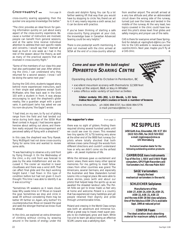cross-country soaring appealing, then the quicker one acquires knowledge the better."

"The clinic provides an ideal forum for gaining information quickly on just about every aspect of the cross-country experience. Because a number of instructors are involved, people can benefit from general sessions, and at the same time receive individual attention to address their own specific needs and concerns. I would say that I learned at least as much in one week as I had in the rest of the season about the theory, as well as many of the practical aspects that are involved in cross-country flight."

"Some of the members of our class this year had also participated last year. After attending the clinic, I can understand why they returned for a second session. I know I will be doing the same next year."

During the CAS clinic, students tagged along behind more experienced instructors, each in their single seat sailplanes except Scott McMaster, who flew back seat in the Grob 103 with a student in front. It was always encouraging to spot the shepherd's glider nearby, like a guardian angel with a good vario. A participant (who has asked we use his nom-de-plume, "the Eagle") wrote:

"I had tried, on my own, to fly out of gliding range from the field and had landed out twice during both days of the SOSA Mud Bowl contest in August. I had become apprehensive about setting out alone, and therefore really enjoyed the encouragement and perceived safety of flying with a shepherd."

In this case, the shepherd was Tony Rywak. Terry McElligott had not done cross-country flying for some time and wanted to review some skills.

"It was fascinating to observe a dry cold front by flying through it. On the Wednesday of the clinic, a dry cold front was forecast to pass by the area midafternoon and we discussed it. The cooler air resulted in lower cloudbases and there was a wind shift. That can affect final glide and the day's working height band. I had flown in this type of condition before but had not given it much thought. This time I was able to identify it as it was occurring."

"Sometimes lift weakens as it nears cloudbase. Why waste time in it? Move on toward the goal. Sometimes we stop and circle in weak lift without considering there may be better lift farther on. Again, why bother? It's counterproductive. Move on toward the goal and seek the stronger thermal we know must be ahead.

In the clinic, we explored an extra dimension of climbing without circling, by weaving around in the bands of energy under the farther seeking lift that way than you would have by stopping to circle. Yes, there's an art to it. It very nearly requires a sixth sense, but it can be done with practice.

If you've been thinking of starting a safe cross-country flying program at your club, the knowledge base in Canadian Advanced Soaring could be very helpful."

There is one postscript worth mentioning. A pilot not involved with the clinic arrived at SOSA at the end of a cross-country attempt

Cross-country? ... from page 16 clouds and dolphin flying. You can fly a lot from another airport. The aircraft arrived at a very low altitude and, after an abbreviated circuit down the wrong side of the runway, turned just over the trees and landed in the middle of the runway. At the very least, two topics covered in the clinic could have lowered this pilot's stress level: final glides and safety margins, and proper use of the radio.

> CAS is there for everyone: email Dave Springford for details at *<springford-d@rmc.ca>*. The link to the CAS website is *<www.sac.ca/cas/ casintro.html>*. Next year, maybe you'll fly at a CAS clinic.

> > **RTON**

### **Come and soar with the bald eagles! PEMBERTON SOARING CENTRE**

Operating daily April to October in Pemberton, BC

- excellent mountain scenery with thermals to 12,500 feet
- camp at the airport, B&B, or stay in Whistler
- area offers a wide variety of summer activities

### **Glider rentals: DG-202, L-13 Blanik, L-33 Solo Instruction: glider pilot courses or book a number of lessons**

For more information, ph (604) 894-5727, fax (604) 894-5776 e-mail: pemsoar@direct.ca

### **the supporter's view** from page 11

there was no sight of gliders. Finding them required driving several hundred yards until we could see over its crown. This revealed two tiny specks (YC & TS) looking very alone at the other end of the 9000 foot runway. Our pilots where totally shocked that both retrieve crews came through the woods from different directions and couldn't understand how or why we didn't come via the airfield gate — ah, sweet mysteries of life.

While the retrieves gave us excitement and scenic views, there were many other special memories. For me, getting to meet fellow crews from other countries was grand. The Americans, several Germans, and especially the Australian and New Zealanders turned Leszno into a magical place. We were able to share stories, jokes (with and about our pilots) that helped keep the spirits up as we awaited the dreaded landout calls. The Polish folks we got to know made us feel very at home and welcome. Poland is a country that has experienced many hardships and yet people retained their dignity and pride through unmentionable times.

Poland and crewing in the World Class comps was both an adventure and immense fun. What a great way to travel, meet super people, to be challenged, grow and learn. While I've a lot to learn yet about being an effective SCUM, Leszno was a satisfying start. ❖

### *MZ SUPPLIES*

**1450 Goth Ave, Gloucester, ON K1T 1E4 (613) 523-2581, fax (613) 523-9322 e-mail:** *mgmzaqua@cmw.ca* **Ulli Werneburg**

**Exclusive Canadian dealer for the following outstanding aviation products:**

**CAMBRIDGE Aero Instruments Top of the line L-NAV and S-NAV flight computers, GPS Flight Recorders and Variometers incl. the new Palm NAV**

**SAGE Variometers Simply the best mechanical variometers in the world.**

### **SCHLEICHER Sailplanes**

**Manufacturers of the: ASW-27, ASW-24, ASH-26, ASH-25, ASW-22, ASK-21, ASK-23 and the new ASW-28 Std class sailplane. One of the fabulous ASW-27s is available Sept. 1999 at reduced price!**

**CONFOR Foam The ideal aviation shock absorbing material for maximum safety & comfort.**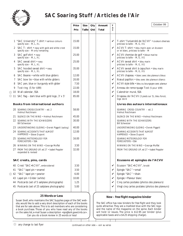

### **SAC Soaring Stuff / Articles de l'Air**

|        |    |                                                                                    | Price<br>Prix | <b>Size</b><br>Taille | Qty<br>Qté | Amount<br>Total | т<br>a<br>$\pmb{\mathsf{x}}$ | October 99                                                                            |
|--------|----|------------------------------------------------------------------------------------|---------------|-----------------------|------------|-----------------|------------------------------|---------------------------------------------------------------------------------------|
|        |    |                                                                                    |               |                       |            |                 |                              |                                                                                       |
|        |    | 1 "SAC University" T-shirt . various colours<br>specify size - M, L, XL            | 15.00         |                       |            |                 | V                            | T-shirt "l'université de l'ACVV" • couleurs diverses<br>précisez la taille - M, G, XG |
|        |    | 2 SAC T- shirt • navy with gold and white crest<br>specify size - M only remaining | 15.00         |                       |            |                 | $\checkmark$                 | ACVV T-shirt • bleu marin avec un écusson<br>or et blanc, précisez la taille - M      |
|        | 3  | SAC golf shirt • navy<br>specify size - M, L, XL                                   | 25.00         |                       |            |                 | V                            | ACVV chemise de golf · bleue marine<br>précisez la taille - M, G, XG                  |
|        |    | 4 SAC sweat shirt • navy<br>specify size - M, L, XL                                | 25.00         |                       |            |                 | ✓                            | ACVV sweat shirt • bleu marin<br>précisez la taille - M, G, XG                        |
|        | 5  | SAC hooded sweat shirt • navy<br>specify size - M, L, XL                           | 35.00         |                       |            |                 | $\checkmark$                 | ACVV sweat shirt à capuchon • bleu marin<br>précisez la taille - M, G, XG             |
|        |    | 6 SAC Beanie • white with blue gliders                                             | 12.00         |                       |            |                 | V                            | ACVV chapeau • blanc avec des planeurs bleus                                          |
|        | 7  | SAC bow tie . blue with white gliders                                              | 20.00         |                       |            |                 | V                            | Nœud papillon · bleu avec des planeurs blancs                                         |
|        | 8  | SAC pen, blue or burgundy with glider                                              | 7.50          |                       |            |                 | V                            | ACVV style bille · bleu ou bourgogne avec planeur                                     |
|        | 9  | Tost ring (5 for \$99)                                                             | 22.00         |                       |            |                 | V                            | Anneau de remorquage Tost (5 pour \$99)                                               |
|        |    | ※ 10 Wall calendar, SSA                                                            | 18.00         |                       |            |                 | ✓                            | Calendrier mural, SSA                                                                 |
|        |    | 卷 11 SAC flag - dark blue with gold logo, 3' x 5'                                  | 85.00         |                       |            |                 | V                            | Drapeau de l'ACVV (3 pieds sur 5), bleu foncé,<br>logo doré                           |
|        |    | <b>Books from international authors</b>                                            |               |                       |            |                 |                              | Livres des auteurs internationaux                                                     |
|        |    | 20 SOARING CROSS-COUNTRY - ed. 2<br>Helmut Reichmann                               | 58.00         |                       |            |                 |                              | SOARING CROSS-COUNTRY - ed. 2<br>Helmut Reichmann                                     |
|        |    | 21 SILENCE ON THE WIND . Helmut Reichmann                                          | 45.00         |                       |            |                 |                              | SILENCE ON THE WIND . Helmut Reichmann                                                |
|        |    | 22 SOARING WITH THE SCHWEIZERS<br><b>Bill Schweizer</b>                            | 30.00         |                       |            |                 |                              | SOARING WITH THE SCHWEIZERS<br><b>Bill Schweizer</b>                                  |
|        |    | 23 UNDERSTANDING GLIDING · Derek Piggott (autog.)                                  | 40.00         |                       |            |                 |                              | UNDERSTANDING GLIDING · Derek Piggott                                                 |
|        |    | 24 SOARING ACCIDENTS THAT ALMOST<br>HAPPENED . Steve Dupont                        | 12.00         |                       |            |                 |                              | SOARING ACCIDENTS THAT ALMOST<br>HAPPENED . Steve Dupont                              |
|        |    | 25 SOARING METEOROLOGY FOR<br><b>FORECASTERS · SSA</b>                             | 16.00         |                       |            |                 |                              | SOARING METEOROLOGY FOR<br><b>FORECASTERS · SSA</b>                                   |
|        |    | 26 WINNING ON THE WIND . George Moffat                                             | 3.50          |                       |            |                 |                              | WINNING ON THE WIND . George Moffat                                                   |
|        |    | 27 FROM THE GROUND UP, ed 27 · Isabel Peppler<br>expanded & revised                | 32.00         |                       |            |                 |                              | FROM THE GROUND UP, ed 27 · Isabel Peppler                                            |
|        |    | SAC crests, pins, cards                                                            |               |                       |            |                 |                              | Ecussons et epingles de l'ACVV                                                        |
|        |    | 40 Crest "SAC.ACVV", embroidered                                                   | 3.50          |                       |            |                 | V                            | Ecusson "SAC.ACVV", brodé                                                             |
|        | 41 | "SAC" lapel pin · enamel                                                           | 3.50          |                       |            |                 | V                            | Epingle "SAC" · email                                                                 |
| ঞ্চ 42 |    | "SAC" lapel pin · pewter                                                           | 6.00          |                       |            |                 | V                            | Epingle "SAC" · étain                                                                 |
|        | 43 | Lapel pin · Glider (white)                                                         | 10.00         |                       |            |                 | V                            | Epingle · Planeur blanc                                                               |
|        |    | 44 Postcards (set of 5 sailplane photographs)                                      | 1.25          |                       |            |                 | V                            | Cinq cartes postales (photos des planeurs)                                            |
|        |    | 45 Postcards (set of 25 sailplane photographs)                                     | 5.00          |                       |            |                 | V                            | Vingt cinq cartes postales (photos des planeurs)                                      |

### **New –** *free flight* **magazine binder**

The SAC office has new binders for *free flight* and they look quite attractive. They are a marbled blue with the SAC logo and the name of the magazine on the spine. Each binder will hold 12 issues. The price is \$12.95 per binder (plus applicable taxes and a \$4.25 shipping charge).

**25 Words or Less** Susan Snell, who maintains the SAC Supplies page of the SAC website, would like to add a *very* short description of each of the books that are for sale above. This is to aid members who are considering a book purchase. Those of you who have read any of the books on the sales list, e-mail Susan a description *<sps@lark.gawd.mb.ca>*. Can *you* do a book review in 25 words or less!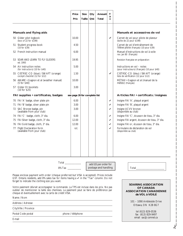|                                                                                                                                                                                                                                                 | Price                                                                                                                                                                                                                                                                                                                                                                                                                                                                                                                                                                                                                   | Size   | Qty | Amount                                        | $\mathsf{T}$<br>a         |                                                                                            |
|-------------------------------------------------------------------------------------------------------------------------------------------------------------------------------------------------------------------------------------------------|-------------------------------------------------------------------------------------------------------------------------------------------------------------------------------------------------------------------------------------------------------------------------------------------------------------------------------------------------------------------------------------------------------------------------------------------------------------------------------------------------------------------------------------------------------------------------------------------------------------------------|--------|-----|-----------------------------------------------|---------------------------|--------------------------------------------------------------------------------------------|
|                                                                                                                                                                                                                                                 | Prix                                                                                                                                                                                                                                                                                                                                                                                                                                                                                                                                                                                                                    | Taille | Qté | Total                                         | $\boldsymbol{\mathsf{x}}$ |                                                                                            |
|                                                                                                                                                                                                                                                 |                                                                                                                                                                                                                                                                                                                                                                                                                                                                                                                                                                                                                         |        |     |                                               |                           |                                                                                            |
| <b>Manuals and flying aids</b>                                                                                                                                                                                                                  |                                                                                                                                                                                                                                                                                                                                                                                                                                                                                                                                                                                                                         |        |     |                                               |                           | Manuels et accessoires de vol                                                              |
| 50 Glider pilot logbook<br>(box of 22 for \$199)                                                                                                                                                                                                | 10.00                                                                                                                                                                                                                                                                                                                                                                                                                                                                                                                                                                                                                   |        |     |                                               | ✓                         | Carnet de vol pour pilote de planeur<br>(boîte de 22 pour $$199$ )                         |
| 51 Student progress book<br>(10 for \$39)                                                                                                                                                                                                       | 4.50                                                                                                                                                                                                                                                                                                                                                                                                                                                                                                                                                                                                                    |        |     |                                               |                           | Carnet de vol d'entraînement de<br>l'élève pilote (français) (10 pour \$39)                |
| 52 French instruction manual                                                                                                                                                                                                                    | 6.00                                                                                                                                                                                                                                                                                                                                                                                                                                                                                                                                                                                                                    |        |     |                                               |                           | Manuel d'instructions de vol à voile<br>rev. jan 80 (français)                             |
| 53 SOAR AND LEARN TO FLY GLIDERS<br>ed. 1993                                                                                                                                                                                                    | 19.95                                                                                                                                                                                                                                                                                                                                                                                                                                                                                                                                                                                                                   |        |     |                                               |                           | Revision française en préparation                                                          |
| 54 Air instruction notes<br>(for instructors) (10 for \$40)                                                                                                                                                                                     | 5.00                                                                                                                                                                                                                                                                                                                                                                                                                                                                                                                                                                                                                    |        |     |                                               |                           | Instructions en vol – notes<br>(pour instructeurs) (français) (10 pour \$40)               |
| 55 CISTRSC-CO (blue) / SWAFT (orange)<br>cockpit checklist (12 for \$12)                                                                                                                                                                        | 1.50                                                                                                                                                                                                                                                                                                                                                                                                                                                                                                                                                                                                                    |        |     |                                               | ✔                         | CISTRSC-CO (bleu) / SWAFT (orange)<br>liste de vérification (12 pour \$12)                 |
| 56 AWARE • Gagnon et al (weather manual)<br>(5 for \$40)                                                                                                                                                                                        | 10.00                                                                                                                                                                                                                                                                                                                                                                                                                                                                                                                                                                                                                   |        |     |                                               |                           | MÉTAVI · Gagnon et al (manuel de la<br>météo) (français)                                   |
| 57 Glider DI booklets<br>(10 for \$25)                                                                                                                                                                                                          | 3.00                                                                                                                                                                                                                                                                                                                                                                                                                                                                                                                                                                                                                    |        |     |                                               |                           |                                                                                            |
| FAI supplies • certificates, badges                                                                                                                                                                                                             | see page 26 for complete list                                                                                                                                                                                                                                                                                                                                                                                                                                                                                                                                                                                           |        |     |                                               |                           | Articles FAI • certificats / insignes                                                      |
| 70 FAI 'A' badge, silver plate pin                                                                                                                                                                                                              | 6.00                                                                                                                                                                                                                                                                                                                                                                                                                                                                                                                                                                                                                    |        |     |                                               | V                         | Insigne FAI 'A', plaqué argent                                                             |
| 71 FAI 'B' badge, silver plate pin                                                                                                                                                                                                              | 3.00                                                                                                                                                                                                                                                                                                                                                                                                                                                                                                                                                                                                                    |        |     |                                               | ✓                         | Insigne FAI 'B', plaqué argent                                                             |
| 72 SAC Bronze badge, pin<br>(available from your club)                                                                                                                                                                                          | 3.00                                                                                                                                                                                                                                                                                                                                                                                                                                                                                                                                                                                                                    |        |     |                                               | V                         | Insigne ACVV bronze<br>(disponible au club)                                                |
| 74 FAI 'C' badge, cloth, 3" dia.                                                                                                                                                                                                                | 6.00                                                                                                                                                                                                                                                                                                                                                                                                                                                                                                                                                                                                                    |        |     |                                               | ✓                         | Insigne FAI 'C', écusson de tissu, 3" dia.                                                 |
| 75 FAI Silver badge, cloth, 3" dia.                                                                                                                                                                                                             | 12.00                                                                                                                                                                                                                                                                                                                                                                                                                                                                                                                                                                                                                   |        |     |                                               | V                         | Insigne FAI argent, écusson de tissu, 3" dia.                                              |
| 76 FAI Gold badge, cloth, 3" dia.                                                                                                                                                                                                               | 12.00                                                                                                                                                                                                                                                                                                                                                                                                                                                                                                                                                                                                                   |        |     |                                               | $\checkmark$              | Insigne FAI or, écusson de tissu, 3" dia.                                                  |
| Flight Declaration form<br>77                                                                                                                                                                                                                   | n/c                                                                                                                                                                                                                                                                                                                                                                                                                                                                                                                                                                                                                     |        |     |                                               | ✓                         | Formulaire de déclaration de vol                                                           |
| (available from your club)                                                                                                                                                                                                                      |                                                                                                                                                                                                                                                                                                                                                                                                                                                                                                                                                                                                                         |        |     |                                               |                           | (disponible au club)                                                                       |
|                                                                                                                                                                                                                                                 | $\begin{tabular}{c} Total & \underline{\hspace{1cm}} & \underline{\hspace{1cm}} & \underline{\hspace{1cm}} & \underline{\hspace{1cm}} & \underline{\hspace{1cm}} \\ \underline{\hspace{1cm}} & \underline{\hspace{1cm}} & \underline{\hspace{1cm}} & \underline{\hspace{1cm}} & \underline{\hspace{1cm}} \\ \underline{\hspace{1cm}} & \underline{\hspace{1cm}} & \underline{\hspace{1cm}} & \underline{\hspace{1cm}} & \underline{\hspace{1cm}} \\ \underline{\hspace{1cm}} & \underline{\hspace{1cm}} & \underline{\hspace{1cm}} & \underline{\hspace{1cm}} & \underline{\hspace{1cm}} \\ \underline{\hspace{1cm}} &$ |        |     |                                               |                           |                                                                                            |
|                                                                                                                                                                                                                                                 | 8% Tax ______                                                                                                                                                                                                                                                                                                                                                                                                                                                                                                                                                                                                           |        |     | add \$5 per order for<br>postage and handling |                           | Total                                                                                      |
| Please enclose payment with order (cheque preferred but VISA is accepted). Prices include<br>GST. Ontario residents, add 8% sales tax for items having a ✔ in the "Tax" column. Do not<br>forget to indicate the clothing size you want.        |                                                                                                                                                                                                                                                                                                                                                                                                                                                                                                                                                                                                                         |        |     |                                               |                           |                                                                                            |
| Votre paiement dévrait accompagner la commande. La TPS est incluse dans les prix. Ne pas<br>oublier de mentionner la taille des chemises. La paiement peut se faire de préférence par<br>cheque et éventuellement avec la carte de crédit VISA. |                                                                                                                                                                                                                                                                                                                                                                                                                                                                                                                                                                                                                         |        |     |                                               |                           | <b>SOARING ASSOCIATION</b><br>OF CANADA<br><b>ASSOCIATION CANADIENNE</b><br>de VOL à VOILE |
| Name / Nom                                                                                                                                                                                                                                      |                                                                                                                                                                                                                                                                                                                                                                                                                                                                                                                                                                                                                         |        |     |                                               |                           |                                                                                            |
|                                                                                                                                                                                                                                                 |                                                                                                                                                                                                                                                                                                                                                                                                                                                                                                                                                                                                                         |        |     |                                               |                           | 101 - 1090 Ambleside Drive                                                                 |
| Address / Adresse                                                                                                                                                                                                                               |                                                                                                                                                                                                                                                                                                                                                                                                                                                                                                                                                                                                                         |        |     |                                               |                           | Ottawa, ON K2B 8G7                                                                         |

E-mail

Postal Code postal phone / téléphone

tel (613) 829-0536

fax (613) 829-9497 email *sac@comnet.ca*

✁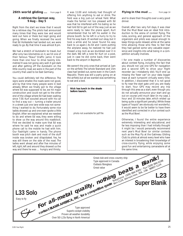### **26th world gliding ...** from page 9

### **A retrieve the German way, 9 Aug – Day 5**

Right from the start we knew that it would be a retrieve day. The pilots had announced many times that they were low and would land out here or there but kept going and going. When we finally received the word that Ed Hollestelle had landed out, we were ready to go. By that time it was almost 8 pm.

We had a stretch of Autobahn to travel, but after only two kilometres on it, we hit one of their famous "Staus" (traffic jams). It took more than one hour to drive twenty kilometres! It was not going very well. It got dark and after getting off the Autobahn on the little country road, we were in the part of the country that used to be East Germany.

You could definitely tell the difference. The signs were smaller, the roads were not good, and by that time many people were in bed already. When we finally got to the village where Ed was supposed to be, we hit major construction and could not get to the other end of the village where Ed had been waiting since 7:30. Kurt scouted around with his car to find a way out — turning a trailer around in a street just one lane wide was not something I wanted to do. Fortunately some nice ladies showed up and one even spoke a little English. After we explained what we needed to do and where Ed was, they were willing to show us the way around this roadblock. First we decided to make sure that Ed was where he said he was and made a quick phone call to the mobile he had with him. Our flashlight came in handy. The phone booth was pitch dark and most of the stuff inside was broken and dilapidated. Yes, he was still there on the side of the road. The ladies went ahead and after five minutes of left, right, left and around they showed us the way and there he was … hungry and thirsty.

It was 11:00 and nobody had thought of offering him anything to eat or drink. The field was a big just-cut wheat field. What made the farmer not too pleased with Ed was that he interfered with his baling so he had told Ed to get out of the way. Just as we were ready to take the plane apart, Kurt remembered that he left his wallet in the phone booth. So he left in a hurry to try to find his way back. (It worked out okay, but it took a while and he never found his way back to us again.) As Ed and I were putting the airplane away, he realized he had just missed a big rock as we stumbled over it in the dark. We left a note for Kurt on a post, just in case he did come back, then went back to the airport in Bayreuth.

We weren't the only ones that arrived at 1am on the airfield. The whole Standard and 15m class had landed out, some even in the Czech Republic. There was still a party going on at the airfield, but all we wanted was something to eat and a bed. ❖

**Nick has lunch in the shade before launch.**

*photo not available for pdf file*

**Flying in the mud ...** from page 14

and to share their thoughts over a very good dinner.

Overall, after two very full days, it was clear that the Mud Bowl was an ideal first introduction to the arena of contest flying. The rules, scoring, and general approach of the organizers and pilots was casual enough to keep things quite relaxed, while at the same time allowing those who flew to feel that they had gained some very valuable experience and insights into what being in a competition actually involves.

I for one made a number of discoveries about contest flying, including the fact that you should not use one GPS for navigation and a second GPS to drive your flight recorder (as I mistakenly did). You'll end up missing the "beer can" on your data logger trace at each turnpoint virtually every time. In addition, I discovered that it is not good to fly near the start gate until you are ready to start. Your GPS may record any trip through this area as a start, even though you do not actually announce your start and go out on course until much later (in my case, 1 hour and 10 minutes later, which ended up being quite a significant penalty.) While these types of "oops's" are obviously not wonderful, it would seem to be far better to have them identified and corrected in a fun contest such as the Mud Bowl.

Otherwise, I found the entire experience extremely interesting and educational, and far less imposing than I had initially thought it might be. I would personally recommend next year's Mud Bowl (or similar contests such as the May Fly at the Gatineau Gliding Club) to pilots at almost every level who have an interest in broadening their knowledge of cross-country flying, while enjoying some good fun and entertaining camaraderie all at the same time. ❖

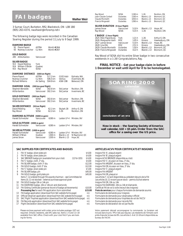### **FAI badges Walter Weir**

3 Sumac Court, Burketon, RR2, Blackstock, ON L0B 1B0 (905) 263-4374, *<waltweir@inforamp.net>*

The following badge legs were recorded in the Canadian Soaring Register during the period 11 July to 9 Sept 1999.

| <b>DIAMOND BADGE</b><br>92 Pierre Parent<br>93<br>Rodney Crutcher                          | <b>ASTRA</b><br>Cu Nim           | World #6364<br>World #6367       |                                            |                                             |
|--------------------------------------------------------------------------------------------|----------------------------------|----------------------------------|--------------------------------------------|---------------------------------------------|
| <b>GOLD BADGE</b><br>285 Attila Kardos                                                     | Vancouver                        |                                  |                                            |                                             |
| <b>SILVER BADGE</b><br>913<br>David Ridding<br>914<br>William O'Brian<br>915<br>Ray Wood   | York<br>Quebec<br>SOSA           |                                  |                                            |                                             |
| <b>DIAMOND DISTANCE</b>                                                                    | (500 km flight)                  |                                  |                                            |                                             |
| Pierre Parent<br>Rodney Crutcher<br><b>Richard Willems</b>                                 | ASTRA<br>Cu Nim<br>Air Sailing   | 517.2 km<br>506.5 km<br>504.9 km | G102 Astir<br>Ventus<br><b>ASW-19B</b>     | Ephrata, WA<br>Invermere, BC<br>Belwood, ON |
| <b>DIAMOND GOAL</b>                                                                        | (300 km goal flight)             |                                  |                                            |                                             |
| Stephen Benedek<br>Attila Kardos                                                           | SOSA<br>Vancouver                | 302.6 km<br>302.3 km             | Std Jantar<br>Std Jantar                   | Rockton, ON<br>Invermere, BC                |
| <b>GOLD DISTANCE</b>                                                                       | (300 km flight)                  |                                  |                                            |                                             |
| Stephen Benedek<br>Attila Kardos                                                           | SOSA<br>Vancouver                | 302.6 km<br>302.3 km             | Std Jantar<br>Std Jantar                   | Rockton, ON<br>Invermere, BC                |
| <b>SILVER DISTANCE</b>                                                                     | (50 km flight)                   |                                  |                                            |                                             |
| David Ridding<br>Ray Wood                                                                  | York<br>SOSA                     | 62.1 km<br>62.2 km               | Skylark 2B<br>$1 - 26$                     | Arthur E, ON<br>Rockton, ON                 |
| <b>DIAMOND ALTITUDE</b><br><b>Harald Schnetzler</b>                                        | (5000 m gain)<br>Vancouver       | 6280 m                           | Laister LP-4                               | Minden, NV                                  |
|                                                                                            |                                  |                                  |                                            |                                             |
| GOLD ALTITUDE (3000 m gain)<br><b>Harald Schnetzler</b>                                    | Vancouver                        | 6280 m                           | Laister LP-4                               | Minden, NV                                  |
| SILVER ALTITUDE (1000 m gain)<br><b>Harald Schnetzler</b><br>William O'Brian<br>James Snow | Vancouver<br>Quebec<br>Vancouver | 6280 m<br>1300 m<br>1200 m       | Laister LP-4<br>Blanik L-13<br>Blanik L-13 | Minden, NV<br>St Raymond, QC<br>Hope, BC    |

### **SAC SUPPLIES FOR CERTIFICATES AND BADGES ARTICLES ACVV POUR CERTIFICATS ET INSIGNES**

| 1  | FAI 'A' badge, silver plate pin                                           | \$6.00  |
|----|---------------------------------------------------------------------------|---------|
| 2  | FAI 'B' badge, silver plate pin                                           | \$6.00  |
| 3  | SAC BRONZE badge pin <i>(available from your club)</i><br>$(12$ for \$55) | \$6.00  |
| 4  | FAI 'C' badge, cloth, 3" dia.                                             | \$6.00  |
| 5  | FAI SILVER badge, cloth 3" dia.                                           | \$12.00 |
| 6  | FAI GOLD badge, cloth 3" dia.                                             | \$12.00 |
|    | FAI 'C' badge, silver plate pin                                           | \$5.00  |
| 8  | FAI SILVER badge, pin                                                     | \$45.00 |
| 9  | FAI GOLD badge, gold plate pin                                            | \$45.00 |
|    | Items 7-12 ordered through FAI awards chairman - see Committees list      |         |
|    | Items 10, 11 not stocked – external purchase approval given               |         |
| 10 | FAI GOLD badge 10k or 14k pin                                             |         |
| 11 | FAI DIAMOND badge, 10k or 14k pin and diamonds                            |         |
| 12 | FAI Gliding Certificate (personal record of badge achievements)           | \$10.00 |
|    | Processing fee for each FAI application form submitted                    | \$15.00 |
| 13 | FAI badge application (download from SAC website forms page)              | n/c     |
| 14 | Official Observer application (download from SAC website forms page)      | n/r     |

15 SAC Flight Trophies application *(download from SAC website forms page)* n/c

- 
- 16 FAI Records application *(download from SAC website forms page)* n/c Formulaire de demande pour records FAI<br>17 Flight Declaration *(download from SAC website forms page)* n/c Formulaire de déclaration de vol par feuille 17 Flight Declaration *(download from SAC website forms page)*
- 

Please enclose payment with order; price includes postage. GST not required. Ontario residents, add 8% sales tax. Items 1–6 and 13–18 available from SAC office. Check with your club first if you are looking for forms.

| Ray Wood<br>Jean-Claude Corbeil<br>Claude Monteith<br><b>Francis Ringwald</b> | <b>SOSA</b><br>Outardes<br>Outardes<br>Outardes | 1190 m<br>1160 m<br>1050 m<br>1390 m | $1 - 26$<br>Blanik L-13<br>Blanik L-13<br>Blanik L-13 | Rockton, ON<br>Bromont, QC<br>Bromont, QC<br>Bromont, QC |  |  |  |  |
|-------------------------------------------------------------------------------|-------------------------------------------------|--------------------------------------|-------------------------------------------------------|----------------------------------------------------------|--|--|--|--|
| <b>SILVER DURATION</b>                                                        | (5 hour flight)                                 |                                      |                                                       |                                                          |  |  |  |  |
| James Snow                                                                    | Vancouver                                       | 5:10h                                | Blanik L-13                                           | Hope, BC                                                 |  |  |  |  |
| Ray Wood                                                                      | SOSA                                            | 5:15h                                | $1-26$                                                | Rockton, ON                                              |  |  |  |  |
| C BADGE (1 hour flight)                                                       |                                                 |                                      |                                                       |                                                          |  |  |  |  |
| 2625 Ellen Papenburg                                                          | York                                            | 1:21h                                | $1-26$                                                | Arthur E. ON                                             |  |  |  |  |
| 2626 Marguerite Varin                                                         | <b>MSC</b>                                      | 1:05h                                | Krosno                                                | Hawkesbury, ON                                           |  |  |  |  |
| 2627 James Snow                                                               | Vancouver                                       | 5:10h                                | Blanik L-13                                           | Hope, BC                                                 |  |  |  |  |
| 2628 Lina Dib                                                                 | <b>MSC</b>                                      | 2:51 h                               | Krosno                                                | Hawkesbury, ON                                           |  |  |  |  |
| 2629 Claude Monteith                                                          | Outardes                                        | 1:50h                                | Blanik L-13                                           | Bromont, QC                                              |  |  |  |  |
| 2630 Francis Ringwald                                                         | Outardes                                        | 4:22 h                               | Blanik L-13                                           | Bromont, QC                                              |  |  |  |  |

Ray Wood of SOSA did his entire Silver badge in two consecutive weekends in a 1-26! Congratulations, Ray.

### **FINAL NOTICE – Get your badge claim in before 1 December or wait until April for it to be homologated.**



**Now in stock – the Soaring Society of America wall calendar, \$18 + \$5 p&h. Order from the SAC office for a saving over the US price.**

- Insigne FAI 'A', plaqué argent
- Insigne FAI 'B', plaqué argent
- 3 SAC BRONZE badge pin *(available from your club)* (12 for \$55) \$ 6.00 Insigne ACVV BRONZE *(disponible au club)*
- Insigne FAI 'C', écusson en tissu, 3" dia.
- Insigne FAI ARGENT, écusson en tissu, 3" dia.
- Insigne FAI OR, écusson en tissu, 3" dia.
- Insigne FAI 'C', plaqué argent
- **Insigne FAI ARGENT**
- Insigne FAI OR, plaqué or
- Les articles 7–12 sont disponibles au président des prix de la FAI Les articles 10, 11 ne sont pas en stock – permis d'achat externe Insigne FAI OR, 10k ou 14k
- Insigne FAI DIAMAND, 10k ou 14k et diamands
- Certificat FAI de vol à voile (receuil des insignes)
- **Frais de services** pour chaque formulaire de demande soumis
- Formulaire de demande pour insignes
- 
- Formulaire de demande pour observateur officiel<br>Formulaire de demande pour trophées de vol de l'ACCV
- 
- 

Votre paiement dévrait accompagner la commande. La livraison est incluse dans le prix. TPS n'est pas requise. Les résidents de l'Ontario sont priés d'ajouter la taxe de 8%. Les articles 1–6 et 13-18 sont disponibles au bureau de l'ACVV.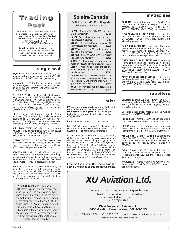



Personal ads are a free service to SAC members (please give me the name of your club). \$10 per insertion for nonmembers. **Send ad to editor**, not the national office, Box 1916, Claresholm, AB T0L 0T0 tel/fax (403) 625-4563, *free-flt@agt.net*

**Ad will run 3 times** unless you renew. Please tell me if your item has been sold sooner. Maximum ad length is 6 lines and subject to some editing as necessary.

### **single seat**

**Skylark 4**, excellent condition, instruments, O2, barograph, parachute, trailer, hangared at GGC. \$11,000. Bill Park (613) 947-1371 *<bill.park@ccrs.nrcan.gc.ca>*

**Monerai-S**, C-GTMY, low hours, professionally built, enlarged tail, centre-stick mod, standard equip. Encl trailer. \$5000 obo. *<barnes\_leigh@connected.bc.ca>* (250) 286-6378.

**Tern**, C-GWKW, 845h, amateur-built in 1978. Always hangared, no accidents, L/D 34:1 @ 54 kts. Basic inst incl Cambridge audio, 720 chan radio, Strong chute. Encl trailer. Several 300 km triangle flights less than 5 hr. More info at *<http://www.accolade.ca/glider/>*. Owner: Wolfgang Weichert, call: Juergen at *<juergen @accolade.ca>* or (613) 746-7685.

**HP16**, C-GAUZ, 534h, basic instruments, Winter audio vario, Tost winch hook, Schreder trailer, selfrigging equip with tow bar & wing wheel, covers. asking \$15,000. All parts for a motor conversion also available, \$2000. Willie Deleurant (416) 755-0359.

**Std. Libelle**, CF-QJS, #86, 862h, radio, computer/ vario, chute, trailer instruments, hangared at Beaver Valley Soaring Club. Asking \$22,000. Phone (519) 599- 6749 or email *<ruthumm@bmts.com>*

**PIK20Bc**, C–GXWD, carbon fibre, 820h, vg cond, new paint, Ball 400 c/w netto & cruise, Edoaire 720 radio, chute, O2, gear warning. Call Lee Coates at (403) 242- 3056 or Denis Bergeron at (403) 526-4560.

**ASW 20**, C-FNVQ, NDH, 1160 h, 372 launches, good cond. Cambridge Nav director/vario/audio. Sage mechanical, back-up audio, radio, Smiley bags, solar panel, O2. Good homebuilt trailer. \$43,000. Peter Foster (905) 584-1920 *<pede.foster@ibm.net>*

**Ventus B**, C-GVRS "26", in excellent condition, 812 hours. Fully instrumented with Ilec computer, Ball vario, Dittel 720 channel radio, O2, Masak winglets and Cobra trailer. Call or e-mail Lee (403) 242-3056, *<coatesl@cadvision.com>* or Rod (403) 240-4374, *<crutcher@med.ucalgary.ca>*

**New SAC Lapel pins** They are quite attractive, in pewter, in the form of the usual SAC logo. The wreath and gulls are raised (three dimensional) and the pin is similar but smaller than the pewter logos on the plaques given out at the AGM. The selling price is \$6. We will continue to sell the old (enamelled) SAC lapel pins – we sell a couple of them a year, so whoever is looking after the SAC office in the future will not have re-order for another 125 years or so. Jim McCollum

### *Solaire Canada*

Ed Hollestelle (519) 461-1464 ph/fx *solairecanada@compuserve.com*

**LX-20B** The new "no frills" IGC-approved<br>GPS flight recorder \$1495 GPS flight recorder **LX-100** Electronic audio vario with averager and 2 response settings *\$495* **ATR57** A new 2-1/4" panel-mounted 760 channel radio ready to install. *\$1395* **ATR720A** 760 chan VHF with mounting tray and wiring harness. *\$1695* **ATR720C** Same as above with LCD display<br>and 10 channel memory. \$1895 and 10 channel memory. **SHM1010** Boom mike and wiring (as installed by most glider manufacturers. *\$175* **Colibri** FAI approved logger (the size of a small package of cigarettes) with navigation and data screen. *\$1395* **LX-5000** The ultimate GPS/final glide computer system with large graphic display, FAI flight recorder, and moving map with airspace and task displays. *\$5995* **DX 50** The newest GPS flight data compu-

ter/recorder, only 2 LCDs. *\$3495*

### **misc**

**EW electronic barograph**, Windows flight soft-ware, cables, and dot matrix printer. \$550 **OK mechanical barograph**, ink or smoke, \$100 Call Mike, *<thompson\_foundry@bc.sympatico.ca>* (604) 534-8863

**Baro**, Winter, smoke, \$200. David (613) 678-6565.

**Baro**, EW-B electronic barograph & data logger, connects to your portable GPS. Steve Burany (SOSA). \$550 (905) 889-5779 or *<steve.burany@utoronto.ca>*

**SZD-55**, **half share** (two 1/4 shares considered), 250h, immac cond, ndh. Extensive instrumentation, clamshell trailer, chute, tail dolly and rigging device. Competitive, with great characteristics (L/D 43:1). Glider flies at SOSA. \$32,000 or \$35,000 depending on if the flight recorder, flight computer and GPS are required by the purchaser or not. Contact Nigel Holmes *<nigel.holmes@sympatico.ca>* (905) 387-1355 For photos and technical detail see the SZD web site, *<http://csrp.tamu.edu/Soaring/SZD.55-1.html>*

*Read the fine print in the Trading Post box above. Often an ad on this page is out of date.*

### **magazines**

**SOARING** — the monthly journal of the Soaring Society of America. Subscriptions US\$43. Credit cards accepted. Box E, Hobbs, NM 88241-7504. (505) 392- 1177, fax 392-8154. *<74521.116@compuserve.com>*

**NEW ZEALAND GLIDING KIWI** — the monthly journal of the New Zealand Gliding Association. US\$32/year (seamail). Private Bag, Tauranga, NZ. *<john@roake.gen.nz>*

**SAILPLANE & GLIDING** — the only authoritative British magazine devoted entirely to gliding. Bimonthly. BGA, Kimberley House, Vaughan Way, Leicester, LE1 4SG, England. £17.50 per annum. fax 0116 251-5939 *<bga@gliding.co.uk>*

**AUSTRALIAN GLIDING / SKYSAILOR** — bimonthly journal of the Gliding and the Hang Gliding Federations of Australia. \$A40.50 surface mail, air \$A55. Payable by Bankcard, Visa, Mastercard. Box 1650, GPO, Adelaide, South Australia 5001. fax (03) 9379- 5519. *<AdminOfficer@gfa.org.au>*

**MOTORGLIDING INTERNATIONAL** — bimonthly jointly published by the Soaring Society of America and the British Gliding Association. \$US34 per annum, (505) 392-8154. *<info@ssa.org>*

### **suppliers**

**Canadian Soaring Supplies** Borgelt instruments and soaring software. Svein Hubinette, 343-150 Rue Berlioz, Ile des Sœurs, QC H3E 1K3, (514) 765-9951 *<svein@videotron.net>*

**Barograph calibration,** most makes and models, Walter Chmela (416) 223-6487

**Flying High** Parachute sales, repairs, repacking, custom containers. Al MacDonald (403) 687-2225.

**LD-200**, variometer, hi-performance pressure transducer based varios with audio. No bottle required. Peter Masak (610) 738-9792, *masak@ix.netcom.com*

**MZ Supplies** Dealer for Schleicher sailplanes and parts, CONFOR foam, Becker radios, most German instruments. Ulli Werneburg,1450 Goth Ave, Gloucester, ON K1T 1E4 *<mgmzaqua@ cmw.ca>* ph/fax (613) 523-2581

**Solaire Canada** SZD-55-1, Krosno, PW-5, trailers, GPS, instruments and other sailplane stuff. Ed Hollestelle, ph/fax (519) 461-1464, *<solairecanada @compuserve.com>*

**XU Aviation** Glider repairs in all materials. Chris Eaves (519) 452-7999, fax (519) 452-0075, *<xu-aviation@ sympatico.ca>*

**XU Aviation Ltd.**

major and minor repair and inspection in: • steel tube, and wood and fabric • stressed skin aluminum

• composites

**Chris Eaves, XU Aviation Ltd. 2450 Aviation Lane, London, ON N5V 3Z9**

ph (519) 452-7999, fax (519) 452-0075 e-mail: xu-aviation@sympatico.ca TC Approved Maintenance Organization 24-88